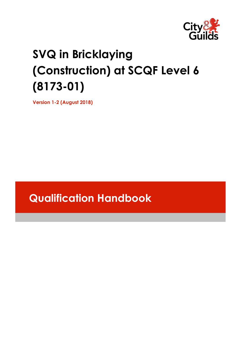

# **SVQ in Bricklaying (Construction) at SCQF Level 6 (8173-01)**

**Version 1-2 (August 2018)**

# **Qualification Handbook**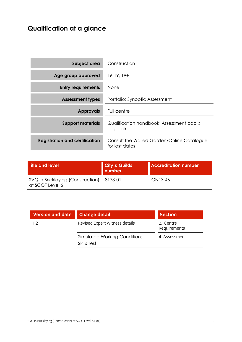# **Qualification at a glance**

| Subject area                          | Construction                                                 |
|---------------------------------------|--------------------------------------------------------------|
| Age group approved                    | $16-19, 19+$                                                 |
| <b>Entry requirements</b>             | <b>None</b>                                                  |
| <b>Assessment types</b>               | Portfolio; Synoptic Assessment                               |
| <b>Approvals</b>                      | Full centre                                                  |
| <b>Support materials</b>              | Qualification handbook; Assessment pack;<br>Logbook          |
| <b>Registration and certification</b> | Consult the Walled Garden/Online Catalogue<br>for last dates |

| Title and level                                              | <b>City &amp; Guilds</b><br>number | <b>Accreditation number</b> |
|--------------------------------------------------------------|------------------------------------|-----------------------------|
| SVQ in Bricklaying (Construction) 8173-01<br>at SCQF Level 6 |                                    | GN1X 46                     |

| Version and date Change detail |                                             | <b>Section</b>            |
|--------------------------------|---------------------------------------------|---------------------------|
| 12                             | Revised Expert Witness details              | 2. Centre<br>Requirements |
|                                | Simulated Working Conditions<br>Skills Test | 4. Assessment             |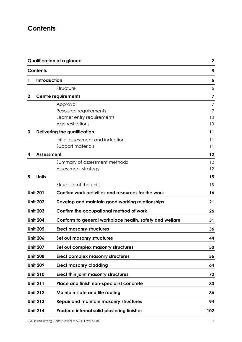# **Contents**

| <b>Qualification at a glance</b> |                                                         | $\mathbf{2}$                                                                                                                                                                                         |
|----------------------------------|---------------------------------------------------------|------------------------------------------------------------------------------------------------------------------------------------------------------------------------------------------------------|
| <b>Contents</b>                  |                                                         | 3                                                                                                                                                                                                    |
|                                  |                                                         | 5                                                                                                                                                                                                    |
|                                  | Structure                                               | 6                                                                                                                                                                                                    |
|                                  |                                                         | 7                                                                                                                                                                                                    |
|                                  | Approval                                                | 7                                                                                                                                                                                                    |
|                                  | Resource requirements                                   | 7                                                                                                                                                                                                    |
|                                  |                                                         | 10                                                                                                                                                                                                   |
|                                  |                                                         | 10                                                                                                                                                                                                   |
|                                  |                                                         | 11                                                                                                                                                                                                   |
|                                  | Initial assessment and induction                        | 11                                                                                                                                                                                                   |
|                                  |                                                         | 11                                                                                                                                                                                                   |
|                                  |                                                         | 12                                                                                                                                                                                                   |
|                                  | Summary of assessment methods                           | 12                                                                                                                                                                                                   |
|                                  |                                                         | 12                                                                                                                                                                                                   |
| <b>Units</b>                     |                                                         | 15                                                                                                                                                                                                   |
|                                  | Structure of the units                                  | 15                                                                                                                                                                                                   |
| <b>Unit 201</b>                  | Confirm work activities and resources for the work      | 16                                                                                                                                                                                                   |
| <b>Unit 202</b>                  | Develop and maintain good working relationships         | 21                                                                                                                                                                                                   |
| <b>Unit 203</b>                  | Confirm the occupational method of work                 | 26                                                                                                                                                                                                   |
| <b>Unit 204</b>                  | Conform to general workplace health, safety and welfare | 31                                                                                                                                                                                                   |
| <b>Unit 205</b>                  | <b>Erect masonry structures</b>                         | 36                                                                                                                                                                                                   |
| <b>Unit 206</b>                  | Set out masonry structures                              | 44                                                                                                                                                                                                   |
| <b>Unit 207</b>                  | Set out complex masonry structures                      | 50                                                                                                                                                                                                   |
| <b>Unit 208</b>                  | Erect complex masonry structures                        | 56                                                                                                                                                                                                   |
| <b>Unit 209</b>                  | <b>Erect masonry cladding</b>                           | 64                                                                                                                                                                                                   |
| <b>Unit 210</b>                  | Erect thin joint masonry structures                     | 72                                                                                                                                                                                                   |
| <b>Unit 211</b>                  | Place and finish non-specialist concrete                | 80                                                                                                                                                                                                   |
| <b>Unit 212</b>                  | Maintain slate and tile roofing                         | 86                                                                                                                                                                                                   |
| <b>Unit 213</b>                  | <b>Repair and maintain masonry structures</b>           | 94                                                                                                                                                                                                   |
| <b>Unit 214</b>                  | Produce internal solid plastering finishes              | 102                                                                                                                                                                                                  |
|                                  |                                                         | Introduction<br><b>Centre requirements</b><br>Learner entry requirements<br>Age restrictions<br><b>Delivering the qualification</b><br>Support materials<br><b>Assessment</b><br>Assessment strategy |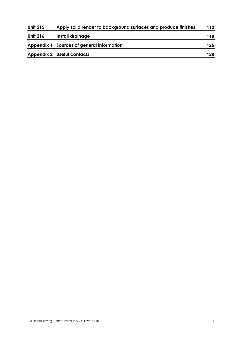| <b>Unit 215</b> | Apply solid render to background surfaces and produce finishes | 110 |
|-----------------|----------------------------------------------------------------|-----|
| <b>Unit 216</b> | Install drainage                                               | 118 |
|                 | Appendix 1 Sources of general information                      | 126 |
|                 | <b>Appendix 2 Useful contacts</b>                              | 128 |
|                 |                                                                |     |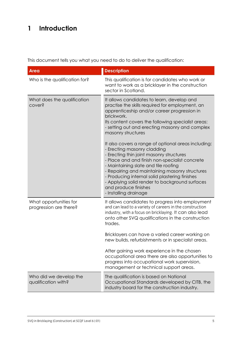# **1 Introduction**

This document tells you what you need to do to deliver the qualification:

| <b>Area</b>                                      | <b>Description</b>                                                                                                                                                                                                                                                                                                                                                       |
|--------------------------------------------------|--------------------------------------------------------------------------------------------------------------------------------------------------------------------------------------------------------------------------------------------------------------------------------------------------------------------------------------------------------------------------|
| Who is the qualification for?                    | This qualification is for candidates who work or<br>want to work as a bricklayer in the construction<br>sector in Scotland.                                                                                                                                                                                                                                              |
| What does the qualification<br>cover?            | It allows candidates to learn, develop and<br>practise the skills required for employment, an<br>apprenticeship and/or career progression in<br>brickwork.<br>Its content covers the following specialist areas:<br>- setting out and erecting masonry and complex<br>masonry structures<br>It also covers a range of optional areas including:                          |
|                                                  | - Erecting masonry cladding<br>- Erecting thin joint masonry structures<br>- Place and and finish non-specialist concrete<br>- Maintaining slate and tile roofing<br>- Repairing and maintaining masonry structures<br>- Producing internal solid plastering finishes<br>- Applying solid render to background surfaces<br>and produce finishes<br>- Installing drainage |
| What opportunities for<br>progression are there? | It allows candidates to progress into employment<br>and can lead to a variety of careers in the construction<br>industry, with a focus on bricklaying. It can also lead<br>onto other SVQ qualifications in the construction<br>trades.                                                                                                                                  |
|                                                  | Bricklayers can have a varied career working on<br>new builds, refurbishments or in specialist areas.                                                                                                                                                                                                                                                                    |
|                                                  | After gaining work experience in the chosen<br>occupational area there are also opportunities to<br>progress into occupational work supervision,<br>management or technical support areas.                                                                                                                                                                               |
| Who did we develop the<br>qualification with?    | The qualification is based on National<br>Occupational Standards developed by CITB, the<br>industry board for the construction industry.                                                                                                                                                                                                                                 |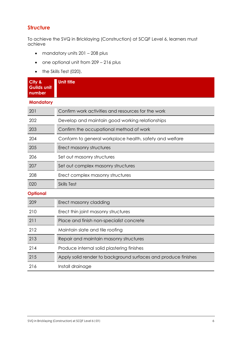### **Structure**

To achieve the SVQ in Bricklaying (Construction) at SCQF Level 6, learners must achieve

- mandatory units 201 208 plus
- one optional unit from 209 216 plus
- the Skills Test (020).

| City &<br><b>Guilds unit</b><br>number | <b>Unit title</b>                                              |
|----------------------------------------|----------------------------------------------------------------|
| <b>Mandatory</b>                       |                                                                |
| 201                                    | Confirm work activities and resources for the work             |
| 202                                    | Develop and maintain good working relationships                |
| 203                                    | Confirm the occupational method of work                        |
| 204                                    | Conform to general workplace health, safety and welfare        |
| 205                                    | Erect masonry structures                                       |
| 206                                    | Set out masonry structures                                     |
| 207                                    | Set out complex masonry structures                             |
| 208                                    | Erect complex masonry structures                               |
| 020                                    | <b>Skills Test</b>                                             |
| <b>Optional</b>                        |                                                                |
| 209                                    | Erect masonry cladding                                         |
| 210                                    | Erect thin joint masonry structures                            |
| 211                                    | Place and finish non-specialist concrete                       |
| 212                                    | Maintain slate and tile roofing                                |
| 213                                    | Repair and maintain masonry structures                         |
| 214                                    | Produce internal solid plastering finishes                     |
| 215                                    | Apply solid render to background surfaces and produce finishes |
| 216                                    | Install drainage                                               |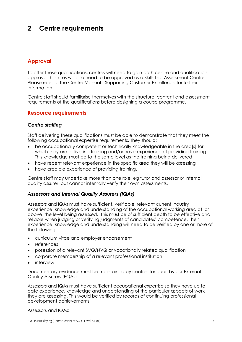# **2 Centre requirements**

### **Approval**

To offer these qualifications, centres will need to gain both centre and qualification approval. Centres will also need to be approved as a Skills Test Assessment Centre. Please refer to the Centre Manual - Supporting Customer Excellence for further information.

Centre staff should familiarise themselves with the structure, content and assessment requirements of the qualifications before designing a course programme.

### **Resource requirements**

#### *Centre staffing*

Staff delivering these qualifications must be able to demonstrate that they meet the following occupational expertise requirements. They should:

- be occupationally competent or technically knowledgeable in the area[s] for which they are delivering training and/or have experience of providing training. This knowledge must be to the same level as the training being delivered
- have recent relevant experience in the specific area they will be assessing
- have credible experience of providing training.

Centre staff may undertake more than one role, eg tutor and assessor or internal quality assurer, but cannot internally verify their own assessments.

#### *Assessors and Internal Quality Assurers (IQAs)*

Assessors and IQAs must have sufficient, verifiable, relevant current industry experience, knowledge and understanding of the occupational working area at, or above, the level being assessed. This must be of sufficient depth to be effective and reliable when judging or verifying judgments of candidates' competence. Their experience, knowledge and understanding will need to be verified by one or more of the following:

- curriculum vitae and employer endorsement
- references
- posession of a relevant SVQ/NVQ or vocationally related qualification
- corporate membership of a relevant professional institution
- interview.

Documentary evidence must be maintained by centres for audit by our External Quality Assurers (EQAs).

Assessors and IQAs must have sufficient occupational expertise so they have up to date experience, knowledge and understanding of the particular aspects of work they are assessing. This would be verified by records of continuing professional development achievements.

Assessors and IQAs: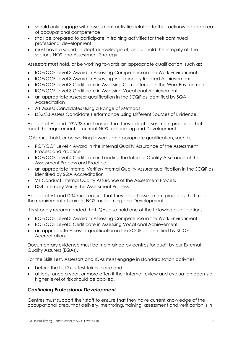- should only engage with assessment activities related to their acknowledged area of occupational competence
- shall be prepared to participate in training activities for their continued professional development
- must have a sound, in-depth knowledge of, and uphold the integrity of, the sector's NOS and Assessment Strategy.

Assessors must hold, or be working towards an appropriate qualification, such as:

- RQF/QCF Level 3 Award in Assessing Competence in the Work Environment
- RQF/QCF Level 3 Award in Assessing Vocationally Related Achievement
- RQF/QCF Level 3 Certificate in Assessing Competence in the Work Environment
- RQF/QCF Level 3 Certificate in Assessing Vocational Achievement
- an appropriate Assessor qualification in the SCQF as identified by SQA **Accreditation**
- A1 Assess Candidates Using a Range of Methods
- D32/33 Assess Candidate Performance Using Different Sources of Evidence.

Holders of A1 and D32/33 must ensure that they adopt assessment practices that meet the requirement of current NOS for Learning and Development.

IQAs must hold, or be working towards an appropriate qualification, such as:

- RQF/QCF Level 4 Award in the Internal Quality Assurance of the Assessment Process and Practice
- RQF/QCF Level 4 Certificate in Leading the Internal Quality Assurance of the Assessment Process and Practice
- an appropriate Internal Verifier/Internal Quality Assurer qualification in the SCQF as identified by SQA Accreditation
- V1 Conduct Internal Quality Assurance of the Assessment Process
- D34 Internally Verify the Assessment Process.

Holders of V1 and D34 must ensure that they adopt assessment practices that meet the requirement of current NOS for Learning and Development.

It is strongly recommended that IQAs also hold one of the following qualifications:

- RQF/QCF Level 3 Award in Assessing Competence in the Work Environment
- RQF/QCF Level 3 Certificate in Assessing Vocational Achievement
- an appropriate Assessor qualification in the SCQF as identified by SCQF Accreditation.

Documentary evidence must be maintained by centres for audit by our External Quality Assurers (EQAs).

For the Skills Test, Assessors and IQAs must engage in standardisation activities:

- before the first Skills Test takes place and
- at least once a year, or more often if their internal review and evaluation deems a higher level of risk should be applied.

### *Continuing Professional Development*

Centres must support their staff to ensure that they have current knowledge of the occupational area, that delivery, mentoring, training, assessment and verification is in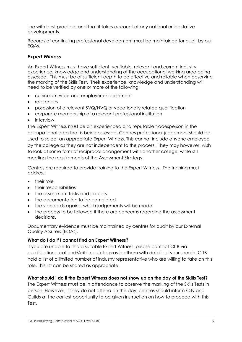line with best practice, and that it takes account of any national or legislative developments.

Records of continuing professional development must be maintained for audit by our EQAs.

#### *Expert Witness*

An Expert Witness must have sufficient, verifiable, relevant and current industry experience, knowledge and understanding of the occupational working area being assessed. This must be of sufficient depth to be effective and reliable when observing the marking of the Skills Test. Their experience, knowledge and understanding will need to be verified by one or more of the following:

- curriculum vitae and employer endorsement
- references
- posession of a relevant SVQ/NVQ or vocationally related qualification
- corporate membership of a relevant professional institution
- interview.

The Expert Witness must be an experienced and reputable tradesperson in the occupational area that is being assessed. Centres professional judgement should be used to select an appropriate Expert Witness. This cannot include anyone employed by the college as they are not independent to the process. They may however, wish to look at some form of reciprocal arrangement with another college, while still meeting the requirements of the Assessment Strategy.

Centres are required to provide training to the Expert Witness. The training must address:

- their role
- their responsibilities
- the assessment tasks and process
- the documentation to be completed
- the standards against which judgements will be made
- the process to be followed if there are concerns regarding the assessment decisions.

Documentary evidence must be maintained by centres for audit by our External Quality Assurers (EQAs).

#### **What do I do if I cannot find an Expert Witness?**

If you are unable to find a suitable Expert Witness, please contact CITB via qualifications.scotland@citb.co.uk to provide them with details of your search. CITB hold a list of a limited number of industry representative who are willing to take on this role. This list can be shared as appropriate.

### **What should I do if the Expert Witness does not show up on the day of the Skills Test?**

The Expert Witness must be in attendance to observe the marking of the Skills Tests in person. However, if they do not attend on the day, centres should inform City and Guilds at the earliest opportunity to be given instruction on how to proceed with this Test.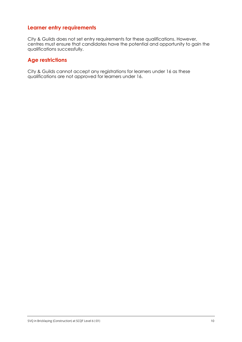### **Learner entry requirements**

City & Guilds does not set entry requirements for these qualifications. However, centres must ensure that candidates have the potential and opportunity to gain the qualifications successfully.

### **Age restrictions**

City & Guilds cannot accept any registrations for learners under 16 as these qualifications are not approved for learners under 16.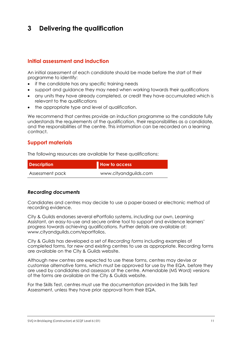# **3 Delivering the qualification**

### **Initial assessment and induction**

An initial assessment of each candidate should be made before the start of their programme to identify:

- if the candidate has any specific training needs
- support and guidance they may need when working towards their qualifications
- any units they have already completed, or credit they have accumulated which is relevant to the qualifications
- the appropriate type and level of qualification.

We recommend that centres provide an induction programme so the candidate fully understands the requirements of the qualification, their responsibilities as a candidate, and the responsibilities of the centre. This information can be recorded on a learning contract.

### **Support materials**

The following resources are available for these qualifications:

| <b>Description</b> | How to access         |
|--------------------|-----------------------|
| Assessment pack    | www.cityandguilds.com |

#### *Recording documents*

Candidates and centres may decide to use a paper-based or electronic method of recording evidence.

City & Guilds endorses several ePortfolio systems, including our own, Learning Assistant, an easy-to-use and secure online tool to support and evidence learners' progress towards achieving qualifications. Further details are available at: [www.cityandguilds.com/eportfolios.](http://www.cityandguilds.com/eportfolios)

City & Guilds has developed a set of *Recording forms* including examples of completed forms, for new and existing centres to use as appropriate. Recording forms are available on the City & Guilds website.

Although new centres are expected to use these forms, centres may devise or customise alternative forms, which must be approved for use by the EQA, before they are used by candidates and assessors at the centre. Amendable (MS Word) versions of the forms are available on the City & Guilds website.

For the Skills Test, centres must use the documentation provided in the Skills Test Assessment, unless they have prior approval from their EQA.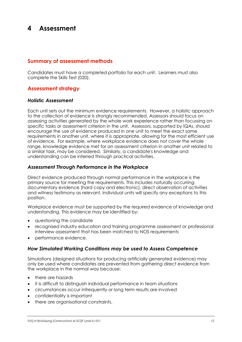# **4 Assessment**

### **Summary of assessment methods**

Candidates must have a completed portfolio for each unit. Learners must also complete the Skills Test (020).

### **Assessment strategy**

#### *Holistic Assessment*

Each unit sets out the minimum evidence requirements. However, a holistic approach to the collection of evidence is strongly recommended. Assessors should focus on assessing activities generated by the whole work experience rather than focussing on specific tasks or assessment criterion in the unit. Assessors, supported by IQAs, should encourage the use of evidence produced in one unit to meet the exact same requirements in another unit, where it is appropriate, allowing for the most efficient use of evidence. For example, where workplace evidence does not cover the whole range, knowledge evidence met for an assessment criterion in another unit related to a similar task, may be considered. Similarly, a candidate's knowledge and understanding can be inferred through practical activities.

#### *Assessment Through Performance in the Workplace*

Direct evidence produced through normal performance in the workplace is the primary source for meeting the requirements. This includes naturally occurring documentary evidence (hard copy and electronic), direct observation of activities and witness testimony as relevant. Individual units will specify any exceptions to this position.

Workplace evidence must be supported by the required evidence of knowledge and understanding. This evidence may be identified by:

- questioning the candidate
- recognised industry education and training programme assessment or professional interview assessment that has been matched to NOS requirements
- performance evidence.

#### *How Simulated Working Conditions may be used to Assess Competence*

Simulations (designed situations for producing artificially generated evidence) may only be used where candidates are prevented from gathering direct evidence from the workplace in the normal way because:

- there are hazards
- it is difficult to distinguish individual performance in team situations
- circumstances occur infrequently or long term results are involved
- confidentiality is important
- there are organisational constraints.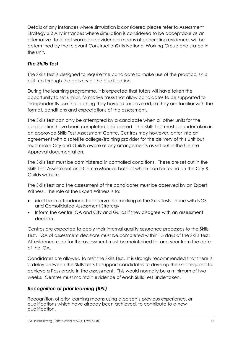Details of any instances where simulation is considered please refer to Assessment Strategy 3.2 Any instances where simulation is considered to be acceptable as an alternative (to direct workplace evidence) means of generating evidence, will be determined by the relevant ConstructionSkills National Working Group and stated in the unit.

### *The Skills Test*

The Skills Test is designed to require the candidate to make use of the practical skills built up through the delivery of the qualification.

During the learning programme, it is expected that tutors will have taken the opportunity to set similar, formative tasks that allow candidates to be supported to independently use the learning they have so far covered, so they are familiar with the format, conditions and expectations of the assessment.

The Skills Test can only be attempted by a candidate when all other units for the qualification have been completed and passed. The Skills Test must be undertaken in an approved Skills Test Assessment Centre. Centres may however, enter into an agreement with a satellite college/training provider for the delivery of this Unit but must make City and Guilds aware of any arrangements as set out in the Centre Approval documentation.

The Skills Test must be administered in controlled conditions. These are set out in the Skills Test Assessment and Centre Manual, both of which can be found on the City & Guilds website.

The Skills Test and the assessment of the candidates must be observed by an Expert Witness. The role of the Expert Witness is to:

- Must be in attendance to observe the marking of the Skills Tests in line with NOS and Consolidated Assessment Strategy
- Inform the centre IQA and City and Guilds if they disagree with an assessment decision.

Centres are expected to apply their internal quality assurance processes to the Skills Test. IQA of assessment decisions must be completed within 15 days of the Skills Test. All evidence used for the assessment must be maintained for one year from the date of the IQA.

Candidates are allowed to resit the Skills Test. It is strongly recommended that there is a delay between the Skills Tests to support candidates to develop the skills required to achieve a Pass grade in the assessment. This would normally be a minimum of two weeks. Centres must maintain evidence of each Skills Test undertaken.

### *Recognition of prior learning (RPL)*

Recognition of prior learning means using a person's previous experience, or qualifications which have already been achieved, to contribute to a new qualification.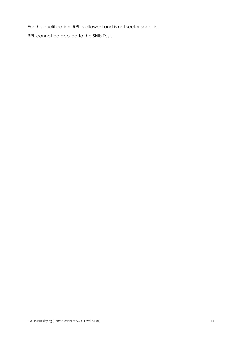For this qualification, RPL is allowed and is not sector specific.

RPL cannot be applied to the Skills Test.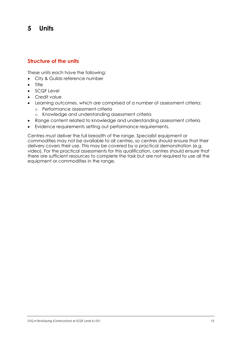# **5 Units**

### **Structure of the units**

These units each have the following:

- City & Guilds reference number
- **Title**
- SCQF Level
- Credit value
- Learning outcomes, which are comprised of a number of assessment criteria:
	- o Performance assessment criteria
	- o Knowledge and understanding assessment criteria
- Range content related to knowledge and understanding assessment criteria
- Evidence requirements setting out performance requirements.

Centres must deliver the full breadth of the range. Specialist equipment or commodities may not be available to all centres, so centres should ensure that their delivery covers their use. This may be covered by a practical demonstration (e.g. video). For the practical assessments for this qualification, centres should ensure that there are sufficient resources to complete the task but are not required to use all the equipment or commodities in the range.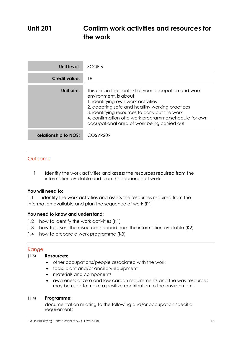# **Unit 201 Confirm work activities and resources for the work**

| Unit level:                 | SCQF 6                                                                                                                                                                                                                                                                                                                           |
|-----------------------------|----------------------------------------------------------------------------------------------------------------------------------------------------------------------------------------------------------------------------------------------------------------------------------------------------------------------------------|
| <b>Credit value:</b>        | 18                                                                                                                                                                                                                                                                                                                               |
| Unit aim:                   | This unit, in the context of your occupation and work<br>environment, is about:<br>1. identifying own work activities<br>2. adopting safe and healthy working practices<br>3. identifying resources to carry out the work<br>4. confirmation of a work programme/schedule for own<br>occupational area of work being carried out |
| <b>Relationship to NOS:</b> | COSVR209                                                                                                                                                                                                                                                                                                                         |

### **Outcome**

1 Identify the work activities and assess the resources required from the information available and plan the sequence of work

#### **You will need to:**

1.1 identify the work activities and assess the resources required from the information available and plan the sequence of work (P1)

#### **You need to know and understand:**

- 1.2 how to identify the work activities (K1)
- 1.3 how to assess the resources needed from the information available (K2)
- 1.4 how to prepare a work programme (K3)

#### **Range**

#### $(1.3)$ **Resources:**   $\frac{1}{3}$

- other occupations/people associated with the work
- tools, plant and/or ancillary equipment
- materials and components
- awareness of zero and low carbon requirements and the way resources may be used to make a positive contribution to the environment.

#### **Programme:**   $(1, 1)$

documentation relating to the following and/or occupation specific requirements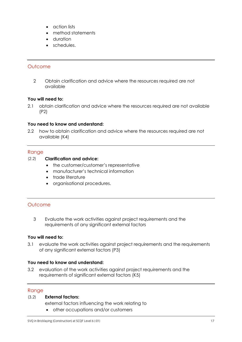- action lists
- method statements
- duration
- schedules.

#### **Outcome**

2 Obtain clarification and advice where the resources required are not available

#### **You will need to:**

2.1 obtain clarification and advice where the resources required are not available (P2)

#### **You need to know and understand:**

2.2 how to obtain clarification and advice where the resources required are not available (K4)

#### Range

#### $(2.2)$ **Clarification and advice:**   $\sum_{i=1}^{n}$

- the customer/customer's representative
- manufacturer's technical information
- trade literature
- organisational procedures.

### **Outcome**

3 Evaluate the work activities against project requirements and the requirements of any significant external factors

#### **You will need to:**

3.1 evaluate the work activities against project requirements and the requirements of any significant external factors (P3)

#### **You need to know and understand:**

3.2 evaluation of the work activities against project requirements and the requirements of significant external factors (K5)

#### Range

#### **External factors:**   $(3,2)$

external factors influencing the work relating to

other occupations and/or customers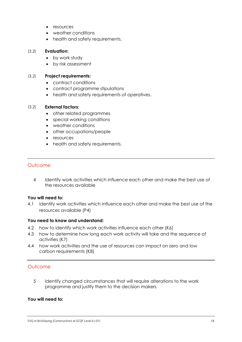- resources
- weather conditions
- health and safety requirements.

#### **Evaluation:**   $(3,2)$

- by work study
- by risk assessment

#### **Project requirements:**   $(2.2)$

- contract conditions
- contract programme stipulations
- health and safety requirements of operatives.

#### **External factors:**   $(3,2)$

- other related programmes
- special working conditions
- weather conditions
- other occupations/people
- resources
- health and safety requirements.

#### **Outcome**

4 Identify work activities which influence each other and make the best use of the resources available

#### **You will need to:**

4.1 identify work activities which influence each other and make the best use of the resources available (P4)

#### **You need to know and understand:**

- 4.2 how to identify which work activities influence each other (K6)
- 4.3 how to determine how long each work activity will take and the sequence of activities (K7)
- 4.4 how work activities and the use of resources can impact on zero and low carbon requirements (K8)

#### **Outcome**

5 Identify changed circumstances that will require alterations to the work programme and justify them to the decision makers

#### **You will need to:**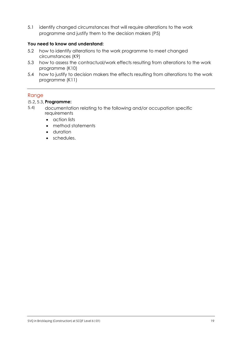5.1 identify changed circumstances that will require alterations to the work programme and justify them to the decision makers (P5)

#### **You need to know and understand:**

- 5.2 how to identify alterations to the work programme to meet changed circumstances (K9)
- 5.3 how to assess the contractual/work effects resulting from alterations to the work programme (K10)
- 5.4 how to justify to decision makers the effects resulting from alterations to the work programme (K11)

### Range

#### **Programme:**

- documentation relating to the following and/or occupation specific requirements  $(5.2, 3)$  $\frac{1}{\sqrt{2}}$ 
	- action lists
	- method statements
	- duration
	- schedules.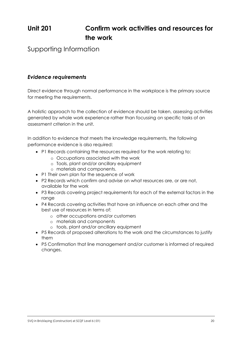# **Unit 201 Confirm work activities and resources for the work**

Supporting Information

### *Evidence requirements*

Direct evidence through normal performance in the workplace is the primary source for meeting the requirements.

A holistic approach to the collection of evidence should be taken, assessing activities generated by whole work experience rather than focussing on specific tasks of an assessment criterion in the unit.

In addition to evidence that meets the knowledge requirements, the following performance evidence is also required:

- P1 Records containing the resources required for the work relating to:
	- o Occupations associated with the work
	- o Tools, plant and/or ancillary equipment
	- o materials and components.
- P1 Their own plan for the sequence of work
- P2 Records which confirm and advise on what resources are, or are not, available for the work
- P3 Records covering project requirements for each of the external factors in the range
- P4 Records covering activities that have an influence on each other and the best use of resources in terms of:
	- o other occupations and/or customers
	- o materials and components
	- o tools, plant and/or ancillary equipment
- P5 Records of proposed alterations to the work and the circumstances to justify them
- P5 Confirmation that line management and/or customer is informed of required changes.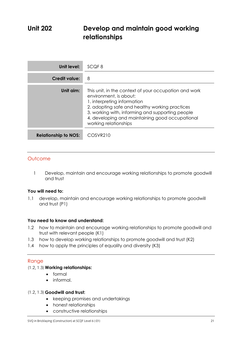# **Unit 202 Develop and maintain good working relationships**

| Unit level:                 | SCQF 8                                                                                                                                                                                                                                                                                           |
|-----------------------------|--------------------------------------------------------------------------------------------------------------------------------------------------------------------------------------------------------------------------------------------------------------------------------------------------|
| Credit value:               | 8                                                                                                                                                                                                                                                                                                |
| Unit aim:                   | This unit, in the context of your occupation and work<br>environment, is about:<br>1. interpreting information<br>2. adopting safe and healthy working practices<br>3. working with, informing and supporting people<br>4. developing and maintaining good occupational<br>working relationships |
| <b>Relationship to NOS:</b> | COSVR210                                                                                                                                                                                                                                                                                         |

### **Outcome**

1 Develop, maintain and encourage working relationships to promote goodwill and trust

#### **You will need to:**

1.1 develop, maintain and encourage working relationships to promote goodwill and trust (P1)

#### **You need to know and understand:**

- 1.2 how to maintain and encourage working relationships to promote goodwill and trust with relevant people (K1)
- 1.3 how to develop working relationships to promote goodwill and trust (K2)
- 1.4 how to apply the principles of equality and diversity (K3)

#### **Range**

#### **Working relationships:**   $\left(1,2,3\right)$

- formal
- informal.

#### **Goodwill and trust:**   $\left(1,2,3\right)$

- keeping promises and undertakings
- honest relationships
- constructive relationships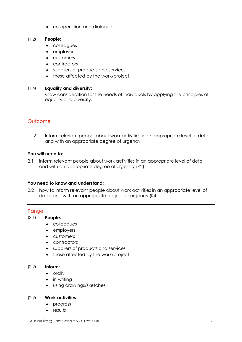co-operation and dialogue.

#### **People:**   $\frac{1}{2}$

- colleagues
- employers
- customers
- contractors
- suppliers of products and services
- those affected by the work/project.

#### **Equality and diversity:**   $(1, 1)$

show consideration for the needs of individuals by applying the principles of equality and diversity.

### **Outcome**

2 Inform relevant people about work activities in an appropriate level of detail and with an appropriate degree of urgency

#### **You will need to:**

2.1 inform relevant people about work activities in an appropriate level of detail and with an appropriate degree of urgency (P2)

#### **You need to know and understand:**

2.2 how to inform relevant people about work activities in an appropriate level of detail and with an appropriate degree of urgency (K4)

#### Range

#### **People:**   $(2.1)$

- colleagues
- employers
- customers
- contractors
- suppliers of products and services
- those affected by the work/project.

#### **Inform:**   $(2.2)$

- orally
- in writing
- using drawings/sketches.

#### **Work activities:**   $(2.2)$

- progress
- results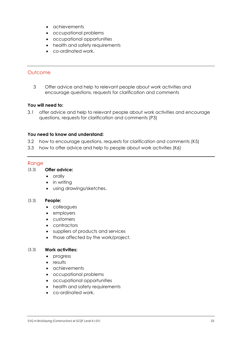- achievements
- occupational problems
- occupational opportunities
- health and safety requirements
- co-ordinated work.

#### **Outcome**

3 Offer advice and help to relevant people about work activities and encourage questions, requests for clarification and comments

#### **You will need to:**

3.1 offer advice and help to relevant people about work activities and encourage questions, requests for clarification and comments (P3)

#### **You need to know and understand:**

- 3.2 how to encourage questions, requests for clarification and comments (K5)
- 3.3 how to offer advice and help to people about work activities (K6)

#### Range

#### **Offer advice:**   $(3.3)$

- orally
- in writing
- using drawings/sketches.

#### **People:**   $(3.3)$

- colleagues
- employers
- customers
- contractors
- suppliers of products and services
- those affected by the work/project.

#### **Work activities:**   $(3.3)$

- progress
- results
- achievements
- occupational problems
- occupational opportunities
- health and safety requirements
- co-ordinated work.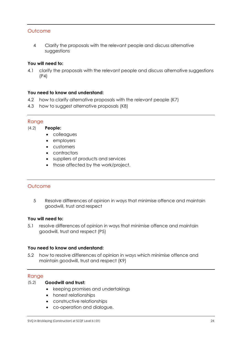### **Outcome**

4 Clarify the proposals with the relevant people and discuss alternative suggestions

#### **You will need to:**

4.1 clarify the proposals with the relevant people and discuss alternative suggestions (P4)

#### **You need to know and understand:**

- 4.2 how to clarify alternative proposals with the relevant people (K7)
- 4.3 how to suggest alternative proposals (K8)

#### Range

**People:**   $(1, 2)$ 

- colleagues
- employers
- customers
- contractors
- suppliers of products and services
- those affected by the work/project.

### **Outcome**

5 Resolve differences of opinion in ways that minimise offence and maintain goodwill, trust and respect

#### **You will need to:**

5.1 resolve differences of opinion in ways that minimise offence and maintain goodwill, trust and respect (P5)

### **You need to know and understand:**

5.2 how to resolve differences of opinion in ways which minimise offence and maintain goodwill, trust and respect (K9)

### Range

#### **Goodwill and trust:**   $(5.2)$

- keeping promises and undertakings
- honest relationships
- constructive relationships
- co-operation and dialogue.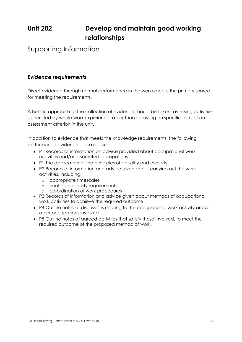# **Unit 202 Develop and maintain good working relationships**

Supporting Information

### *Evidence requirements*

Direct evidence through normal performance in the workplace is the primary source for meeting the requirements.

A holistic approach to the collection of evidence should be taken, assessing activities generated by whole work experience rather than focussing on specific tasks of an assessment criterion in the unit.

In addition to evidence that meets the knowledge requirements, the following performance evidence is also required:

- P1 Records of information on advice provided about occupational work activities and/or associated occupations
- P1 The application of the principles of equality and diversity
- P2 Records of information and advice given about carrying out the work activities, including:
	- o appropriate timescales
	- o health and safety requirements
	- o co-ordination of work procedures
- P3 Records of information and advice given about methods of occupational work activities to achieve the required outcome
- P4 Outline notes of discussions relating to the occupational work activity and/or other occupations involved
- P5 Outline notes of agreed activities that satisfy those involved, to meet the required outcome of the proposed method of work.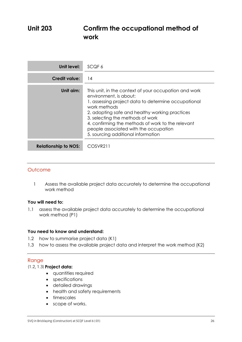# **Unit 203 Confirm the occupational method of work**

| Unit level:                 | SCQF 6                                                                                                                                                                                                                                                                                                                                                                           |
|-----------------------------|----------------------------------------------------------------------------------------------------------------------------------------------------------------------------------------------------------------------------------------------------------------------------------------------------------------------------------------------------------------------------------|
| <b>Credit value:</b>        | 14                                                                                                                                                                                                                                                                                                                                                                               |
| Unit aim:                   | This unit, in the context of your occupation and work<br>environment, is about:<br>1. assessing project data to determine occupational<br>work methods<br>2. adopting safe and healthy working practices<br>3. selecting the methods of work<br>4. confirming the methods of work to the relevant<br>people associated with the occupation<br>5. sourcing additional information |
| <b>Relationship to NOS:</b> | COSVR211                                                                                                                                                                                                                                                                                                                                                                         |

### **Outcome**

1 Assess the available project data accurately to determine the occupational work method

#### **You will need to:**

1.1 assess the available project data accurately to determine the occupational work method (P1)

#### **You need to know and understand:**

- 1.2 how to summarise project data (K1)
- 1.3 how to assess the available project data and interpret the work method (K2)

#### Range

#### **Project data:**   $(1,2)$

- quantities required
- specifications
- detailed drawings
- health and safety requirements
- timescales
- scope of works.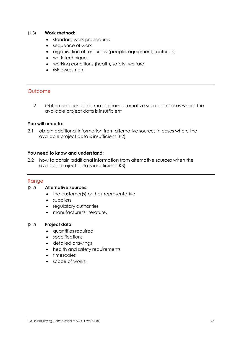#### **Work method:**   $\frac{1}{3}$

- standard work procedures
- sequence of work
- organisation of resources (people, equipment, materials)
- work techniques
- working conditions (health, safety, welfare)
- risk assessment

### **Outcome**

2 Obtain additional information from alternative sources in cases where the available project data is insufficient

#### **You will need to:**

2.1 obtain additional information from alternative sources in cases where the available project data is insufficient (P2)

#### **You need to know and understand:**

2.2 how to obtain additional information from alternative sources when the available project data is insufficient (K3)

#### Range

#### **Alternative sources:**   $(2.2)$

- the customer(s) or their representative
- suppliers
- regulatory authorities
- manufacturer's literature.

#### **Project data:**   $\sum_{i=1}^{n}$

- quantities required
- specifications
- detailed drawings
- health and safety requirements
- timescales
- scope of works.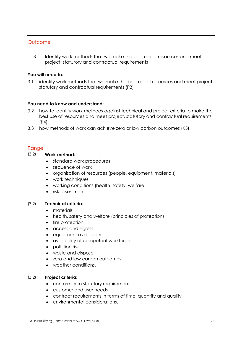### **Outcome**

3 Identify work methods that will make the best use of resources and meet project, statutory and contractual requirements

#### **You will need to:**

3.1 identify work methods that will make the best use of resources and meet project, statutory and contractual requirements (P3)

#### **You need to know and understand:**

- 3.2 how to identify work methods against technical and project criteria to make the best use of resources and meet project, statutory and contractual requirements (K4)
- 3.3 how methods of work can achieve zero or low carbon outcomes (K5)

#### Range

#### **Work method:**  (3.2)

- standard work procedures
- sequence of work
- organisation of resources (people, equipment, materials)
- work techniques
- working conditions (health, safety, welfare)
- risk assessment

#### $(3.2)$ **Technical criteria:**   $(3,2)$

- materials
- health, safety and welfare (principles of protection)
- fire protection
- access and egress
- equipment availability
- availability of competent workforce
- pollution risk
- waste and disposal
- zero and low carbon outcomes
- weather conditions.

#### **Project criteria:**   $(2.2)$

- conformity to statutory requirements
- customer and user needs
- contract requirements in terms of time, quantity and quality
- environmental considerations.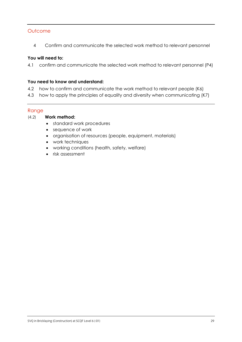### **Outcome**

4 Confirm and communicate the selected work method to relevant personnel

#### **You will need to:**

4.1 confirm and communicate the selected work method to relevant personnel (P4)

#### **You need to know and understand:**

- 4.2 how to confirm and communicate the work method to relevant people (K6)
- 4.3 how to apply the principles of equality and diversity when communicating (K7)

#### Range

#### **Work method:**  (4.2)

- standard work procedures
- sequence of work
- organisation of resources (people, equipment, materials)
- work techniques
- working conditions (health, safety, welfare)
- risk assessment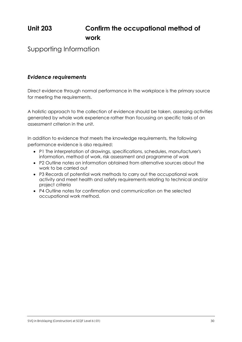# **Unit 203 Confirm the occupational method of work**

## Supporting Information

### *Evidence requirements*

Direct evidence through normal performance in the workplace is the primary source for meeting the requirements.

A holistic approach to the collection of evidence should be taken, assessing activities generated by whole work experience rather than focussing on specific tasks of an assessment criterion in the unit.

In addition to evidence that meets the knowledge requirements, the following performance evidence is also required:

- P1 The interpretation of drawings, specifications, schedules, manufacturer's information, method of work, risk assessment and programme of work
- P2 Outline notes on information obtained from alternative sources about the work to be carried out
- P3 Records of potential work methods to carry out the occupational work activity and meet health and safety requirements relating to technical and/or project criteria
- P4 Outline notes for confirmation and communication on the selected occupational work method.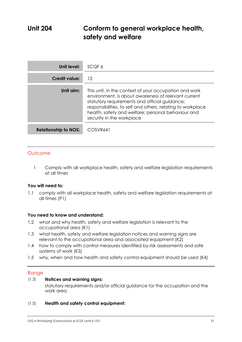# **Unit 204 Conform to general workplace health, safety and welfare**

| <b>Unit level:</b>          | SCQF 6                                                                                                                                                                                                                                                                                                          |
|-----------------------------|-----------------------------------------------------------------------------------------------------------------------------------------------------------------------------------------------------------------------------------------------------------------------------------------------------------------|
| Credit value:               | 12                                                                                                                                                                                                                                                                                                              |
| Unit aim:                   | This unit, in the context of your occupation and work<br>environment, is about awareness of relevant current<br>statutory requirements and official guidance;<br>responsibilities, to self and others, relating to workplace<br>health, safety and welfare; personal behaviour and<br>security in the workplace |
| <b>Relationship to NOS:</b> | COSVR641                                                                                                                                                                                                                                                                                                        |

### **Outcome**

1 Comply with all workplace health, safety and welfare legislation requirements at all times

#### **You will need to:**

1.1 comply with all workplace health, safety and welfare legislation requirements at all times (P1)

#### **You need to know and understand:**

- 1.2 what and why health, safety and welfare legislation is relevant to the occupational area (K1)
- 1.3 what health, safety and welfare legislation notices and warning signs are relevant to the occupational area and associated equipment (K2)
- 1.4 how to comply with control measures identified by risk assessments and safe systems of work (K3)
- 1.5 why, when and how health and safety control equipment should be used (K4)

#### Range

#### **Notices and warning signs:**   $(1.3)$

statutory requirements and/or official guidance for the occupation and the work area

**Health and safety control equipment:**   $\sum_{i=1}^{n}$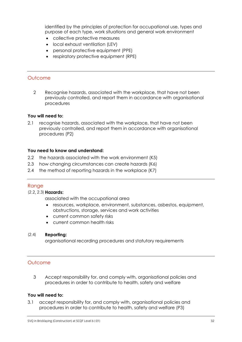identified by the principles of protection for occupational use, types and purpose of each type, work situations and general work environment

- collective protective measures
- local exhaust ventilation (LEV)
- personal protective equipment (PPE)
- respiratory protective equipment (RPE)

#### **Outcome**

2 Recognise hazards, associated with the workplace, that have not been previously controlled, and report them in accordance with organisational procedures

#### **You will need to:**

2.1 recognise hazards, associated with the workplace, that have not been previously controlled, and report them in accordance with organisational procedures (P2)

#### **You need to know and understand:**

- 2.2 the hazards associated with the work environment (K5)
- 2.3 how changing circumstances can create hazards (K6)
- 2.4 the method of reporting hazards in the workplace (K7)

#### **Range**

#### **Hazards:**   $\sqrt{2}$

associated with the occupational area

- resources, workplace, environment, substances, asbestos, equipment, obstructions, storage, services and work activities
- current common safety risks
- current common health risks

#### **Reporting:**   $(2.4)$

organisational recording procedures and statutory requirements

#### **Outcome**

3 Accept responsibility for, and comply with, organisational policies and procedures in order to contribute to health, safety and welfare

#### **You will need to:**

3.1 accept responsibility for, and comply with, organisational policies and procedures in order to contribute to health, safety and welfare (P3)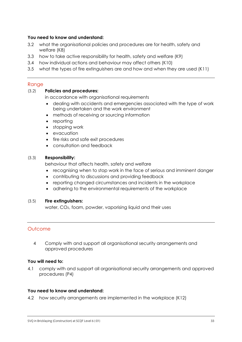#### **You need to know and understand:**

- 3.2 what the organisational policies and procedures are for health, safety and welfare (K8)
- 3.3 how to take active responsibility for health, safety and welfare (K9)
- 3.4 how individual actions and behaviour may affect others (K10)
- 3.5 what the types of fire extinguishers are and how and when they are used (K11)

#### Range

#### **Policies and procedures:**  (3.2)

in accordance with organisational requirements

- dealing with accidents and emergencies associated with the type of work being undertaken and the work environment
- methods of receiving or sourcing information
- reporting
- stopping work
- evacuation
- fire risks and safe exit procedures
- consultation and feedback

#### **Responsibility:**  (3.3)

behaviour that affects health, safety and welfare

- recognising when to stop work in the face of serious and imminent danger
- contributing to discussions and providing feedback
- reporting changed circumstances and incidents in the workplace
- adhering to the environmental requirements of the workplace

#### **Fire extinguishers:**   $(5.5)$

water, CO<sub>2</sub>, foam, powder, vaporising liquid and their uses

### **Outcome**

4 Comply with and support all organisational security arrangements and approved procedures

#### **You will need to:**

4.1 comply with and support all organisational security arrangements and approved procedures (P4)

#### **You need to know and understand:**

4.2 how security arrangements are implemented in the workplace (K12)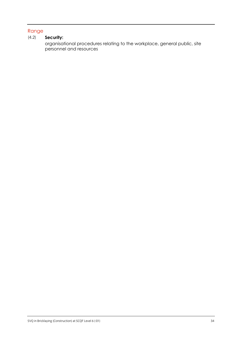### Range

#### **Security:**  (4.2)

organisational procedures relating to the workplace, general public, site personnel and resources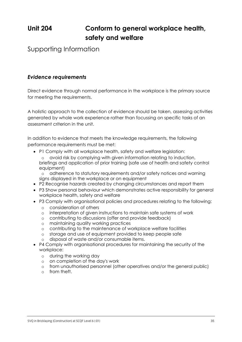# **Unit 204 Conform to general workplace health, safety and welfare**

Supporting Information

### *Evidence requirements*

Direct evidence through normal performance in the workplace is the primary source for meeting the requirements.

A holistic approach to the collection of evidence should be taken, assessing activities generated by whole work experience rather than focussing on specific tasks of an assessment criterion in the unit.

In addition to evidence that meets the knowledge requirements, the following performance requirements must be met:

- P1 Comply with all workplace health, safety and welfare legislation:
	- o avoid risk by complying with given information relating to induction, briefings and application of prior training (safe use of health and safety control equipment)

o adherence to statutory requirements and/or safety notices and warning signs displayed in the workplace or on equipment

- P2 Recognise hazards created by changing circumstances and report them
- P3 Show personal behaviour which demonstrates active responsibility for general workplace health, safety and welfare
- P3 Comply with organisational policies and procedures relating to the following:
	- o consideration of others
	- o interpretation of given instructions to maintain safe systems of work
	- o contributing to discussions (offer and provide feedback)
	- o maintaining quality working practices
	- o contributing to the maintenance of workplace welfare facilities
	- o storage and use of equipment provided to keep people safe
	- o disposal of waste and/or consumable items.
- P4 Comply with organisational procedures for maintaining the security of the workplace:
	- o during the working day
	- o on completion of the day's work
	- o from unauthorised personnel (other operatives and/or the general public)
	- o from theft.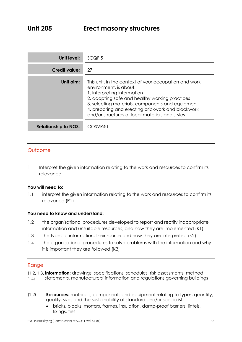| Unit level:                 | SCQF <sub>5</sub>                                                                                                                                                                                                                                                                                                            |
|-----------------------------|------------------------------------------------------------------------------------------------------------------------------------------------------------------------------------------------------------------------------------------------------------------------------------------------------------------------------|
| Credit value:               | 27                                                                                                                                                                                                                                                                                                                           |
| Unit aim:                   | This unit, in the context of your occupation and work<br>environment, is about:<br>1. interpreting information<br>2. adopting safe and healthy working practices<br>3. selecting materials, components and equipment<br>4. preparing and erecting brickwork and blockwork<br>and/or structures of local materials and styles |
| <b>Relationship to NOS:</b> | COSVR40                                                                                                                                                                                                                                                                                                                      |

### **Outcome**

1 Interpret the given information relating to the work and resources to confirm its relevance

#### **You will need to:**

1.1 interpret the given information relating to the work and resources to confirm its relevance (P1)

#### **You need to know and understand:**

- 1.2 the organisational procedures developed to report and rectify inappropriate information and unsuitable resources, and how they are implemented (K1)
- 1.3 the types of information, their source and how they are interpreted (K2)
- 1.4 the organisational procedures to solve problems with the information and why it is important they are followed (K3)

#### Range

- **Information:** drawings, specifications, schedules, risk assessments, method
- statements, manufacturers' information and regulations governing buildings  $(1.4)$ 1.4)
- **Resources:** materials, components and equipment relating to types, quantity, quality, sizes and the sustainability of standard and/or specialist:  $(1,2)$ 
	- bricks, blocks, mortars, frames, insulation, damp-proof barriers, lintels, fixings, ties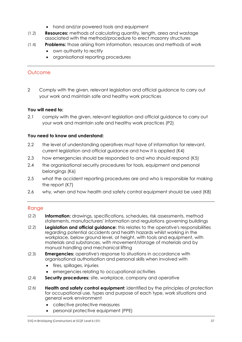- hand and/or powered tools and equipment
- **Resources:** methods of calculating quantity, length, area and wastage associated with the method/procedure to erect masonry structures  $\frac{1}{2}$
- $(1.4)$ **Problems:** those arising from information, resources and methods of work  $\frac{1}{\sqrt{1-\frac{1}{2}}}$ 
	- own authority to rectify
	- organisational reporting procedures

2 Comply with the given, relevant legislation and official guidance to carry out your work and maintain safe and healthy work practices

#### **You will need to:**

2.1 comply with the given, relevant legislation and official guidance to carry out your work and maintain safe and healthy work practices (P2)

#### **You need to know and understand:**

- 2.2 the level of understanding operatives must have of information for relevant, current legislation and official guidance and how it is applied (K4)
- 2.3 how emergencies should be responded to and who should respond (K5)
- 2.4 the organisational security procedures for tools, equipment and personal belongings (K6)
- 2.5 what the accident reporting procedures are and who is responsible for making the report (K7)
- 2.6 why, when and how health and safety control equipment should be used (K8)

- $(2.2)$ **Information:** drawings, specifications, schedules, risk assessments, method  $\sum_{i=1}^{n}$ statements, manufacturers' information and regulations governing buildings
- **Legislation and official guidance:** this relates to the operative's responsibilities regarding potential accidents and health hazards whilst working in the workplace, below ground level, at height, with tools and equipment, with materials and substances, with movement/storage of materials and by manual handling and mechanical lifting  $\sum_{i=1}^{n}$
- **Emergencies:** operative's response to situations in accordance with organisational authorisation and personal skills when involved with  $(2.3)$ 
	- fires, spillages, injuries
	- emergencies relating to occupational activities
- **Security procedures:** site, workplace, company and operative  $\sum_{i=1}^{n}$
- **Health and safety control equipment:** identified by the principles of protection for occupational use, types and purpose of each type, work situations and general work environment  $\sum_{i=1}^{n}$ 
	- collective protective measures
	- personal protective equipment (PPE)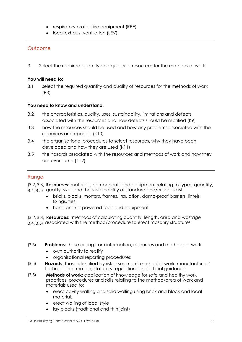- respiratory protective equipment (RPE)
- **•** local exhaust ventilation (LEV)

3 Select the required quantity and quality of resources for the methods of work

#### **You will need to:**

3.1 select the required quantity and quality of resources for the methods of work (P3)

#### **You need to know and understand:**

- 3.2 the characteristics, quality, uses, sustainability, limitations and defects associated with the resources and how defects should be rectified (K9)
- 3.3 how the resources should be used and how any problems associated with the resources are reported (K10)
- 3.4 the organisational procedures to select resources, why they have been developed and how they are used (K11)
- 3.5 the hazards associated with the resources and methods of work and how they are overcome (K12)

## Range

- **Resources:** materials, components and equipment relating to types, quantity,
- 3.4, 3.5) quality, sizes and the sustainability of standard and/or specialist: 3.4, 3.5)
	- bricks, blocks, mortars, frames, insulation, damp-proof barriers, lintels, fixings, ties
	- hand and/or powered tools and equipment

**Resources:** methods of calculating quantity, length, area and wastage associated with the method/procedure to erect masonry structures  $3.5$   $3.5$ 

- **Problems:** those arising from information, resources and methods of work  $(3.3)$ 
	- own authority to rectify
	- organisational reporting procedures
- **Hazards:** those identified by risk assessment, method of work, manufacturers' technical information, statutory regulations and official guidance  $(3.5)$
- **Methods of work:** application of knowledge for safe and healthy work practices, procedures and skills relating to the method/area of work and materials used to:  $(5.5)$ 
	- erect cavity walling and solid walling using brick and block and local materials
	- erect walling of local style
	- lay blocks (traditional and thin joint)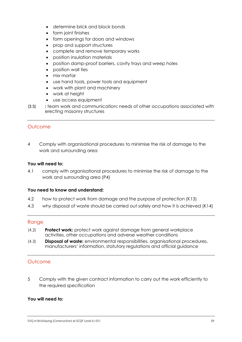- determine brick and block bonds
- form joint finishes
- form openings for doors and windows
- prop and support structures
- complete and remove temporary works
- position insulation materials
- position damp-proof barriers, cavity trays and weep holes
- position wall ties
- mix mortar
- use hand tools, power tools and equipment
- work with plant and machinery
- work at height
- use access equipment
- **:** team work and communication**:** needs of other occupations associated with erecting masonry structures  $(3.5)$

4 Comply with organisational procedures to minimise the risk of damage to the work and surrounding area

#### **You will need to:**

4.1 comply with organisational procedures to minimise the risk of damage to the work and surrounding area (P4)

#### **You need to know and understand:**

- 4.2 how to protect work from damage and the purpose of protection (K13)
- 4.3 why disposal of waste should be carried out safely and how it is achieved (K14)

#### Range

- **Protect work:** protect work against damage from general workplace  $(4.2)$  $\frac{1}{2}$ activities, other occupations and adverse weather conditions
- **Disposal of waste:** environmental responsibilities, organisational procedures, manufacturers' information, statutory regulations and official guidance  $(1, 3)$

## **Outcome**

5 Comply with the given contract information to carry out the work efficiently to the required specification

#### **You will need to:**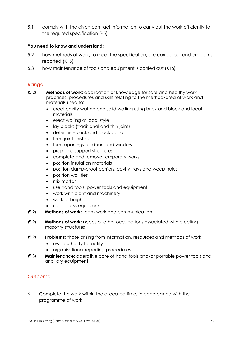5.1 comply with the given contract information to carry out the work efficiently to the required specification (P5)

#### **You need to know and understand:**

- 5.2 how methods of work, to meet the specification, are carried out and problems reported (K15)
- 5.3 how maintenance of tools and equipment is carried out (K16)

#### Range

- $(5.2)$ **Methods of work:** application of knowledge for safe and healthy work  $(5.2)$ practices, procedures and skills relating to the method/area of work and materials used to:
	- erect cavity walling and solid walling using brick and block and local materials
	- erect walling of local style
	- lay blocks (traditional and thin joint)
	- determine brick and block bonds
	- form joint finishes
	- form openings for doors and windows
	- prop and support structures
	- complete and remove temporary works
	- position insulation materials
	- position damp-proof barriers, cavity trays and weep holes
	- position wall ties
	- mix mortar
	- use hand tools, power tools and equipment
	- work with plant and machinery
	- work at height
	- use access equipment
- **Methods of work:** team work and communication  $(5.2)$  $(5.2)$
- **Methods of work:** needs of other occupations associated with erecting masonry structures  $(5.2)$
- **Problems:** those arising from information, resources and methods of work  $(5.2)$ 
	- own authority to rectify
	- organisational reporting procedures
- **Maintenance:** operative care of hand tools and/or portable power tools and ancillary equipment  $(5.3)$

## **Outcome**

6 Complete the work within the allocated time, in accordance with the programme of work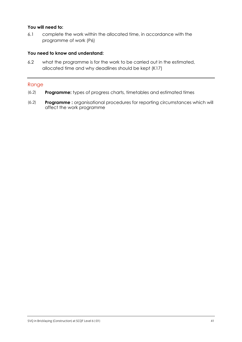#### **You will need to:**

6.1 complete the work within the allocated time, in accordance with the programme of work (P6)

#### **You need to know and understand:**

6.2 what the programme is for the work to be carried out in the estimated, allocated time and why deadlines should be kept (K17)

- **Programme:** types of progress charts, timetables and estimated times  $(2)$
- **Programme :** organisational procedures for reporting circumstances which will affect the work programme  $(2)$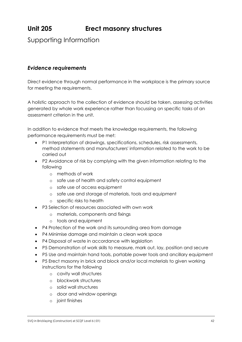# **Unit 205 Erect masonry structures**

Supporting Information

## *Evidence requirements*

Direct evidence through normal performance in the workplace is the primary source for meeting the requirements.

A holistic approach to the collection of evidence should be taken, assessing activities generated by whole work experience rather than focussing on specific tasks of an assessment criterion in the unit.

In addition to evidence that meets the knowledge requirements, the following performance requirements must be met:

- P1 Interpretation of drawings, specifications, schedules, risk assessments, method statements and manufacturers' information related to the work to be carried out
- P2 Avoidance of risk by complying with the given information relating to the following
	- o methods of work
	- o safe use of health and safety control equipment
	- o safe use of access equipment
	- o safe use and storage of materials, tools and equipment
	- o specific risks to health
- P3 Selection of resources associated with own work
	- o materials, components and fixings
	- o tools and equipment
- P4 Protection of the work and its surrounding area from damage
- P4 Minimise damage and maintain a clean work space
- P4 Disposal of waste in accordance with legislation
- P5 Demonstration of work skills to measure, mark out, lay, position and secure
- P5 Use and maintain hand tools, portable power tools and ancillary equipment
- P5 Erect masonry in brick and block and/or local materials to given working instructions for the following
	- o cavity wall structures
	- o blockwork structures
	- o solid wall structures
	- o door and window openings
	- o joint finishes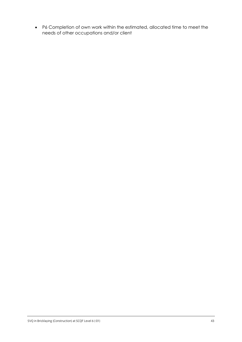P6 Completion of own work within the estimated, allocated time to meet the needs of other occupations and/or client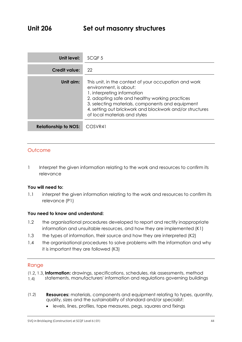| Unit level:                 | SCQF <sub>5</sub>                                                                                                                                                                                                                                                                                                 |
|-----------------------------|-------------------------------------------------------------------------------------------------------------------------------------------------------------------------------------------------------------------------------------------------------------------------------------------------------------------|
| <b>Credit value:</b>        | 22                                                                                                                                                                                                                                                                                                                |
| Unit aim:                   | This unit, in the context of your occupation and work<br>environment, is about:<br>1. interpreting information<br>2. adopting safe and healthy working practices<br>3. selecting materials, components and equipment<br>4. setting out brickwork and blockwork and/or structures<br>of local materials and styles |
| <b>Relationship to NOS:</b> | COSVR41                                                                                                                                                                                                                                                                                                           |

1 Interpret the given information relating to the work and resources to confirm its relevance

#### **You will need to:**

1.1 interpret the given information relating to the work and resources to confirm its relevance (P1)

#### **You need to know and understand:**

- 1.2 the organisational procedures developed to report and rectify inappropriate information and unsuitable resources, and how they are implemented (K1)
- 1.3 the types of information, their source and how they are interpreted (K2)
- 1.4 the organisational procedures to solve problems with the information and why it is important they are followed (K3)

- **Information:** drawings, specifications, schedules, risk assessments, method
- statements, manufacturers' information and regulations governing buildings  $(1.4)$ 1.4)
- **Resources:** materials, components and equipment relating to types, quantity, quality, sizes and the sustainability of standard and/or specialist:  $(1,2)$ 
	- levels, lines, profiles, tape measures, pegs, squares and fixings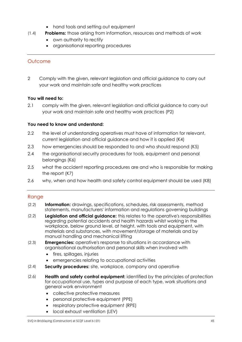- hand tools and setting out equipment
- **Problems:** those arising from information, resources and methods of work  $\frac{1}{\sqrt{1-\frac{1}{2}}}$ 
	- own authority to rectify
	- organisational reporting procedures

2 Comply with the given, relevant legislation and official guidance to carry out your work and maintain safe and healthy work practices

## **You will need to:**

2.1 comply with the given, relevant legislation and official guidance to carry out your work and maintain safe and healthy work practices (P2)

## **You need to know and understand:**

- 2.2 the level of understanding operatives must have of information for relevant, current legislation and official guidance and how it is applied (K4)
- 2.3 how emergencies should be responded to and who should respond (K5)
- 2.4 the organisational security procedures for tools, equipment and personal belongings (K6)
- 2.5 what the accident reporting procedures are and who is responsible for making the report (K7)
- 2.6 why, when and how health and safety control equipment should be used (K8)

- **Information:** drawings, specifications, schedules, risk assessments, method statements, manufacturers' information and regulations governing buildings  $(2.2)$
- **Legislation and official guidance:** this relates to the operative's responsibilities regarding potential accidents and health hazards whilst working in the workplace, below ground level, at height, with tools and equipment, with materials and substances, with movement/storage of materials and by manual handling and mechanical lifting  $\sum_{i=1}^{n}$
- **Emergencies:** operative's response to situations in accordance with organisational authorisation and personal skills when involved with  $\sum_{i=1}^{n}$ 
	- fires, spillages, injuries
	- emergencies relating to occupational activities
- **Security procedures:** site, workplace, company and operative  $\sum_{i=1}^{n}$
- **Health and safety control equipment:** identified by the principles of protection for occupational use, types and purpose of each type, work situations and general work environment  $\sum_{i=1}^{n}$ 
	- collective protective measures
	- personal protective equipment (PPE)
	- respiratory protective equipment (RPE)
	- local exhaust ventilation (LEV)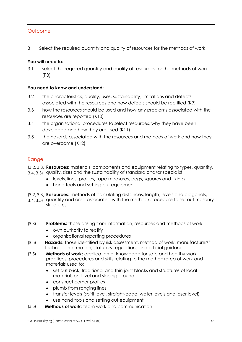3 Select the required quantity and quality of resources for the methods of work

#### **You will need to:**

3.1 select the required quantity and quality of resources for the methods of work (P3)

#### **You need to know and understand:**

- 3.2 the characteristics, quality, uses, sustainability, limitations and defects associated with the resources and how defects should be rectified (K9)
- 3.3 how the resources should be used and how any problems associated with the resources are reported (K10)
- 3.4 the organisational procedures to select resources, why they have been developed and how they are used (K11)
- 3.5 the hazards associated with the resources and methods of work and how they are overcome (K12)

- **Resources:** materials, components and equipment relating to types, quantity,
- and the sustainability of standard and/or specialist:<br>3.4, 3.5) quality, sizes and the sustainability of standard and/or specialist:  $3.5$   $3.5$ 
	- levels, lines, profiles, tape measures, pegs, squares and fixings
	- hand tools and setting out equipment
- **Resources:** methods of calculating distances, length, levels and diagonals,
- and area contributions of the contribution of the method/procedure to set out masonry and area associated with the method/procedure to set out masonry structures 3.4, 3.5)
- **Problems:** those arising from information, resources and methods of work  $(3.3)$ 
	- own authority to rectify
	- organisational reporting procedures
- **Hazards:** those identified by risk assessment, method of work, manufacturers' technical information, statutory regulations and official guidance  $(5.5)$
- **Methods of work:** application of knowledge for safe and healthy work practices, procedures and skills relating to the method/area of work and materials used to:  $(3.5)$ 
	- set out brick, traditional and thin joint blocks and structures of local materials on level and sloping ground
	- construct corner profiles
	- plumb from ranging lines
	- transfer levels (spirit level, straight-edge, water levels and laser level)
	- use hand tools and setting out equipment
- $(3.5)$ **Methods of work:** team work and communication  $(5.5)$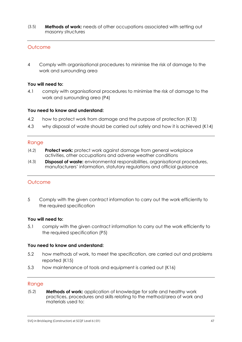**Methods of work:** needs of other occupations associated with setting out masonry structures  $(3.5)$ 

### **Outcome**

4 Comply with organisational procedures to minimise the risk of damage to the work and surrounding area

#### **You will need to:**

4.1 comply with organisational procedures to minimise the risk of damage to the work and surrounding area (P4)

#### **You need to know and understand:**

- 4.2 how to protect work from damage and the purpose of protection (K13)
- 4.3 why disposal of waste should be carried out safely and how it is achieved (K14)

#### Range

- **Protect work:** protect work against damage from general workplace activities, other occupations and adverse weather conditions  $\frac{1}{2}$
- **Disposal of waste:** environmental responsibilities, organisational procedures, manufacturers' information, statutory regulations and official guidance  $\frac{1}{3}$

#### **Outcome**

5 Comply with the given contract information to carry out the work efficiently to the required specification

#### **You will need to:**

5.1 comply with the given contract information to carry out the work efficiently to the required specification (P5)

#### **You need to know and understand:**

- 5.2 how methods of work, to meet the specification, are carried out and problems reported (K15)
- 5.3 how maintenance of tools and equipment is carried out (K16)

#### Range

**Methods of work:** application of knowledge for safe and healthy work practices, procedures and skills relating to the method/area of work and materials used to:  $(5.2)$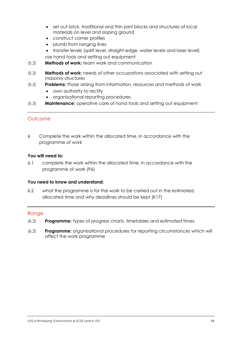- set out brick, traditional and thin joint blocks and structures of local materials on level and sloping ground
- construct corner profiles
- plumb from ranging lines
- transfer levels (spirit level, straight-edge, water levels and laser level) use hand tools and setting out equipment
- **Methods of work:** team work and communication  $(5.2)$
- **Methods of work:** needs of other occupations associated with setting out masonry structures  $(5.2)$
- **Problems:** those arising from information, resources and methods of work  $(5.2)$ 
	- own authority to rectify
	- organisational reporting procedures
- **Maintenance:** operative care of hand tools and setting out equipment  $(5.3)$

6 Complete the work within the allocated time, in accordance with the programme of work

#### **You will need to:**

6.1 complete the work within the allocated time, in accordance with the programme of work (P6)

#### **You need to know and understand:**

6.2 what the programme is for the work to be carried out in the estimated, allocated time and why deadlines should be kept (K17)

- $(6.2)$ **Programme:** *types of progress charts, timetables and estimated times*  $(6.2)$
- **Programme:** organisational procedures for reporting circumstances which will affect the work programme  $(6.2)$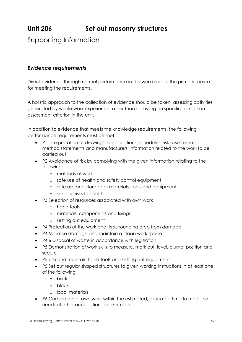# **Unit 206 Set out masonry structures**

## Supporting Information

## *Evidence requirements*

Direct evidence through normal performance in the workplace is the primary source for meeting the requirements.

A holistic approach to the collection of evidence should be taken, assessing activities generated by whole work experience rather than focussing on specific tasks of an assessment criterion in the unit.

In addition to evidence that meets the knowledge requirements, the following performance requirements must be met:

- P1 Interpretation of drawings, specifications, schedules, risk assessments, method statements and manufacturers' information related to the work to be carried out
- P2 Avoidance of risk by complying with the given information relating to the following
	- o methods of work
	- o safe use of health and safety control equipment
	- o safe use and storage of materials, tools and equipment
	- o specific risks to health
- P3 Selection of resources associated with own work
	- o hand tools
	- o materials, components and fixings
	- o setting out equipment
- P4 Protection of the work and its surrounding area from damage
- P4 Minimise damage and maintain a clean work space
- P4 6 Disposal of waste in accordance with legislation
- P5 Demonstration of work skills to measure, mark out, level, plumb, position and secure
- P5 Use and maintain hand tools and setting out equipment
- P5 Set out regular shaped structures to given working instructions in at least one of the following
	- o brick
	- o block
	- o local materials
- P6 Completion of own work within the estimated, allocated time to meet the needs of other occupations and/or client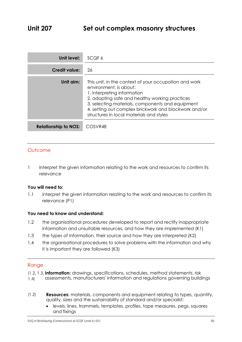| Unit level:                 | SCQF 6                                                                                                                                                                                                                                                                                                                    |
|-----------------------------|---------------------------------------------------------------------------------------------------------------------------------------------------------------------------------------------------------------------------------------------------------------------------------------------------------------------------|
| Credit value:               | 26                                                                                                                                                                                                                                                                                                                        |
| Unit aim:                   | This unit, in the context of your occupation and work<br>environment, is about:<br>1. interpreting information<br>2. adopting safe and healthy working practices<br>3. selecting materials, components and equipment<br>4. setting out complex brickwork and blockwork and/or<br>structures in local materials and styles |
| <b>Relationship to NOS:</b> | COSVR48                                                                                                                                                                                                                                                                                                                   |

1 Interpret the given information relating to the work and resources to confirm its relevance

#### **You will need to:**

1.1 interpret the given information relating to the work and resources to confirm its relevance (P1)

#### **You need to know and understand:**

- 1.2 the organisational procedures developed to report and rectify inappropriate information and unsuitable resources, and how they are implemented (K1)
- 1.3 the types of information, their source and how they are interpreted (K2)
- 1.4 the organisational procedures to solve problems with the information and why it is important they are followed (K3)

- **Information:** drawings, specifications, schedules, method statements, risk
- assessments, manufacturers' information and regulations governing buildings  $(1.4)$ 1.4)
- **Resources:** materials, components and equipment relating to types, quantity, quality, sizes and the sustainability of standard and/or specialist:  $(1,2)$ 
	- levels, lines, trammels, templates, profiles, tape measures, pegs, squares and fixings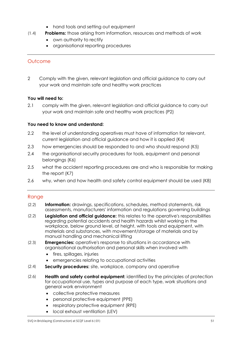- hand tools and setting out equipment
- **Problems:** those arising from information, resources and methods of work  $\frac{1}{\sqrt{1-\frac{1}{2}}}$ 
	- own authority to rectify
	- organisational reporting procedures

2 Comply with the given, relevant legislation and official guidance to carry out your work and maintain safe and healthy work practices

## **You will need to:**

2.1 comply with the given, relevant legislation and official guidance to carry out your work and maintain safe and healthy work practices (P2)

## **You need to know and understand:**

- 2.2 the level of understanding operatives must have of information for relevant, current legislation and official guidance and how it is applied (K4)
- 2.3 how emergencies should be responded to and who should respond (K5)
- 2.4 the organisational security procedures for tools, equipment and personal belongings (K6)
- 2.5 what the accident reporting procedures are and who is responsible for making the report (K7)
- 2.6 why, when and how health and safety control equipment should be used (K8)

- **Information:** drawings, specifications, schedules, method statements, risk assessments, manufacturers' information and regulations governing buildings  $(2.2)$
- **Legislation and official guidance:** this relates to the operative's responsibilities regarding potential accidents and health hazards whilst working in the workplace, below ground level, at height, with tools and equipment, with materials and substances, with movement/storage of materials and by manual handling and mechanical lifting  $\sum_{i=1}^{n}$
- **Emergencies:** operative's response to situations in accordance with organisational authorisation and personal skills when involved with  $\sum_{i=1}^{n}$ 
	- fires, spillages, injuries
	- emergencies relating to occupational activities
- **Security procedures:** site, workplace, company and operative  $\sum_{i=1}^{n}$
- **Health and safety control equipment:** identified by the principles of protection for occupational use, types and purpose of each type, work situations and general work environment  $\sum_{i=1}^{n}$ 
	- collective protective measures
	- personal protective equipment (PPE)
	- respiratory protective equipment (RPE)
	- local exhaust ventilation (LEV)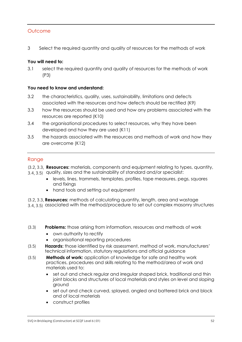3 Select the required quantity and quality of resources for the methods of work

#### **You will need to:**

3.1 select the required quantity and quality of resources for the methods of work (P3)

#### **You need to know and understand:**

- 3.2 the characteristics, quality, uses, sustainability, limitations and defects associated with the resources and how defects should be rectified (K9)
- 3.3 how the resources should be used and how any problems associated with the resources are reported (K10)
- 3.4 the organisational procedures to select resources, why they have been developed and how they are used (K11)
- 3.5 the hazards associated with the resources and methods of work and how they are overcome (K12)

- **Resources:** materials, components and equipment relating to types, quantity,
- and the sustainability of standard and/or specialist:<br>3.4, 3.5) quality, sizes and the sustainability of standard and/or specialist:  $3.5$   $3.5$ 
	- levels, lines, trammels, templates, profiles, tape measures, pegs, squares and fixings
	- hand tools and setting out equipment
- **Resources:** methods of calculating quantity, length, area and wastage
- associated with the method/procedure to set out complex masonry structures 3.4, 3.5)
- **Problems:** those arising from information, resources and methods of work  $(3.3)$ 
	- own authority to rectify
	- organisational reporting procedures
- **Hazards:** those identified by risk assessment, method of work, manufacturers' technical information, statutory regulations and official guidance  $(5.5)$
- **Methods of work:** application of knowledge for safe and healthy work practices, procedures and skills relating to the method/area of work and materials used to:  $(3.5)$ 
	- set out and check regular and irregular shaped brick, traditional and thin joint blocks and structures of local materials and styles on level and sloping ground
	- set out and check curved, splayed, angled and battered brick and block and of local materials
	- construct profiles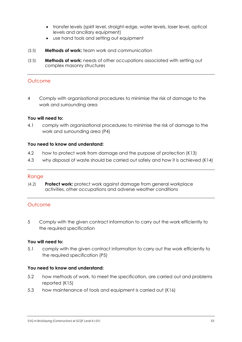- transfer levels (spirit level, straight-edge, water levels, laser level, optical levels and ancillary equipment)
- use hand tools and setting out equipment
- **Methods of work:** team work and communication  $(3.5)$
- **Methods of work:** needs of other occupations associated with setting out complex masonry structures  $(3.5)$

4 Comply with organisational procedures to minimise the risk of damage to the work and surrounding area

#### **You will need to:**

4.1 comply with organisational procedures to minimise the risk of damage to the work and surrounding area (P4)

#### **You need to know and understand:**

- 4.2 how to protect work from damage and the purpose of protection (K13)
- 4.3 why disposal of waste should be carried out safely and how it is achieved (K14)

#### Range

**Protect work:** protect work against damage from general workplace activities, other occupations and adverse weather conditions  $\frac{1}{2}$ 

#### **Outcome**

5 Comply with the given contract information to carry out the work efficiently to the required specification

#### **You will need to:**

5.1 comply with the given contract information to carry out the work efficiently to the required specification (P5)

#### **You need to know and understand:**

- 5.2 how methods of work, to meet the specification, are carried out and problems reported (K15)
- 5.3 how maintenance of tools and equipment is carried out (K16)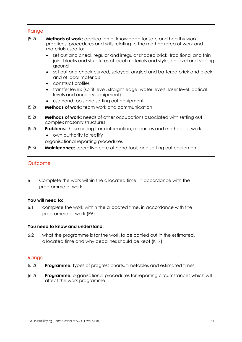#### Range

- $(5.2)$ **Methods of work:** application of knowledge for safe and healthy work  $(5.2)$ practices, procedures and skills relating to the method/area of work and materials used to:
	- set out and check regular and irregular shaped brick, traditional and thin joint blocks and structures of local materials and styles on level and sloping ground
	- set out and check curved, splayed, angled and battered brick and block and of local materials
	- construct profiles
	- transfer levels (spirit level, straight-edge, water levels, laser level, optical levels and ancillary equipment)
	- use hand tools and setting out equipment
- **Methods of work:** team work and communication  $(5.2)$
- **Methods of work:** needs of other occupations associated with setting out complex masonry structures  $(5.2)$
- **Problems:** those arising from information, resources and methods of work • own authority to rectify  $(5.2)$ 
	- organisational reporting procedures
- **Maintenance:** operative care of hand tools and setting out equipment  $(5.3)$

#### **Outcome**

6 Complete the work within the allocated time, in accordance with the programme of work

#### **You will need to:**

6.1 complete the work within the allocated time, in accordance with the programme of work (P6)

#### **You need to know and understand:**

6.2 what the programme is for the work to be carried out in the estimated, allocated time and why deadlines should be kept (K17)

- **Programme:** types of progress charts, timetables and estimated times  $(6.2)$
- **Programme:** organisational procedures for reporting circumstances which will affect the work programme  $(6.2)$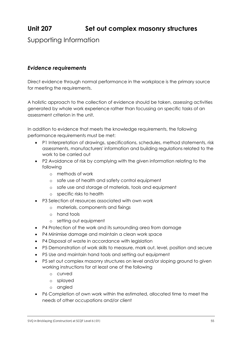# **Unit 207 Set out complex masonry structures**

Supporting Information

## *Evidence requirements*

Direct evidence through normal performance in the workplace is the primary source for meeting the requirements.

A holistic approach to the collection of evidence should be taken, assessing activities generated by whole work experience rather than focussing on specific tasks of an assessment criterion in the unit.

In addition to evidence that meets the knowledge requirements, the following performance requirements must be met:

- P1 Interpretation of drawings, specifications, schedules, method statements, risk assessments, manufacturers' information and building regulations related to the work to be carried out
- P2 Avoidance of risk by complying with the given information relating to the following
	- o methods of work
	- o safe use of health and safety control equipment
	- o safe use and storage of materials, tools and equipment
	- o specific risks to health
- P3 Selection of resources associated with own work
	- o materials, components and fixings
	- o hand tools
	- o setting out equipment
- P4 Protection of the work and its surrounding area from damage
- P4 Minimise damage and maintain a clean work space
- P4 Disposal of waste in accordance with legislation
- P5 Demonstration of work skills to measure, mark out, level, position and secure
- P5 Use and maintain hand tools and setting out equipment
- P5 set out complex masonry structures on level and/or sloping ground to given working instructions for at least one of the following
	- o curved
	- o splayed
	- o angled
- P6 Completion of own work within the estimated, allocated time to meet the needs of other occupations and/or client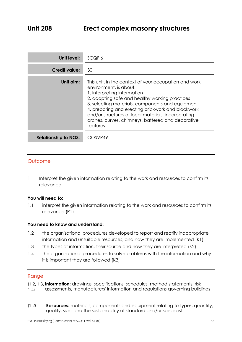| Unit level:                 | SCQF 6                                                                                                                                                                                                                                                                                                                                                                                            |
|-----------------------------|---------------------------------------------------------------------------------------------------------------------------------------------------------------------------------------------------------------------------------------------------------------------------------------------------------------------------------------------------------------------------------------------------|
| <b>Credit value:</b>        | 30                                                                                                                                                                                                                                                                                                                                                                                                |
| Unit aim:                   | This unit, in the context of your occupation and work<br>environment, is about:<br>1. interpreting information<br>2. adopting safe and healthy working practices<br>3. selecting materials, components and equipment<br>4. preparing and erecting brickwork and blockwork<br>and/or structures of local materials, incorporating<br>arches, curves, chimneys, battered and decorative<br>features |
| <b>Relationship to NOS:</b> | COSVR49                                                                                                                                                                                                                                                                                                                                                                                           |

1 Interpret the given information relating to the work and resources to confirm its relevance

#### **You will need to:**

1.1 interpret the given information relating to the work and resources to confirm its relevance (P1)

#### **You need to know and understand:**

- 1.2 the organisational procedures developed to report and rectify inappropriate information and unsuitable resources, and how they are implemented (K1)
- 1.3 the types of information, their source and how they are interpreted (K2)
- 1.4 the organisational procedures to solve problems with the information and why it is important they are followed (K3)

#### Range

**Information:** drawings, specifications, schedules, method statements, risk

- assessments, manufacturers' information and regulations governing buildings  $(1.4)$ 1.4)
- $(1.2)$ **Resources:** materials, components and equipment relating to types, quantity,  $(1,2)$ quality, sizes and the sustainability of standard and/or specialist: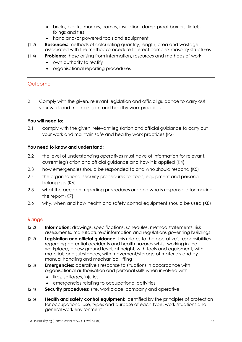- bricks, blocks, mortars, frames, insulation, damp-proof barriers, lintels, fixings and ties
- hand and/or powered tools and equipment
- $(1.2)$ **Resources:** methods of calculating quantity, length, area and wastage  $\frac{1}{2}$ associated with the method/procedure to erect complex masonry structures
	- **Problems:** those arising from information, resources and methods of work
		- own authority to rectify
		- organisational reporting procedures

 $\frac{1}{\sqrt{1-\frac{1}{2}}}$ 

2 Comply with the given, relevant legislation and official guidance to carry out your work and maintain safe and healthy work practices

#### **You will need to:**

2.1 comply with the given, relevant legislation and official guidance to carry out your work and maintain safe and healthy work practices (P2)

#### **You need to know and understand:**

- 2.2 the level of understanding operatives must have of information for relevant, current legislation and official guidance and how it is applied (K4)
- 2.3 how emergencies should be responded to and who should respond (K5)
- 2.4 the organisational security procedures for tools, equipment and personal belongings (K6)
- 2.5 what the accident reporting procedures are and who is responsible for making the report (K7)
- 2.6 why, when and how health and safety control equipment should be used (K8)

- **Information:** drawings, specifications, schedules, method statements, risk assessments, manufacturers' information and regulations governing buildings  $\sum_{i=1}^{n}$
- **Legislation and official guidance:** this relates to the operative's responsibilities regarding potential accidents and health hazards whilst working in the workplace, below ground level, at height, with tools and equipment, with materials and substances, with movement/storage of materials and by manual handling and mechanical lifting  $(2.2)$
- **Emergencies:** operative's response to situations in accordance with  $(2.3)$  $\sum_{i=1}^{n}$ organisational authorisation and personal skills when involved with
	- fires, spillages, injuries
	- emergencies relating to occupational activities
- **Security procedures:** site, workplace, company and operative  $(2.4)$
- **Health and safety control equipment:** identified by the principles of protection for occupational use, types and purpose of each type, work situations and general work environment  $(2.6)$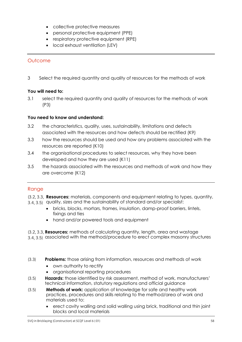- collective protective measures
- personal protective equipment (PPE)
- respiratory protective equipment (RPE)
- local exhaust ventilation (LEV)

3 Select the required quantity and quality of resources for the methods of work

#### **You will need to:**

3.1 select the required quantity and quality of resources for the methods of work (P3)

#### **You need to know and understand:**

- 3.2 the characteristics, quality, uses, sustainability, limitations and defects associated with the resources and how defects should be rectified (K9)
- 3.3 how the resources should be used and how any problems associated with the resources are reported (K10)
- 3.4 the organisational procedures to select resources, why they have been developed and how they are used (K11)
- 3.5 the hazards associated with the resources and methods of work and how they are overcome (K12)

## Range

**Resources:** materials, components and equipment relating to types, quantity,

- 3.4, 3.5) quality, sizes and the sustainability of standard and/or specialist: 3.4, 3.5)
	- bricks, blocks, mortars, frames, insulation, damp-proof barriers, lintels, fixings and ties
	- hand and/or powered tools and equipment
- **Resources:** methods of calculating quantity, length, area and wastage
- associated with the method/procedure to erect complex masonry structures 3.4, 3.5)
- **Problems:** those arising from information, resources and methods of work  $(3.3)$ 
	- own authority to rectify
	- organisational reporting procedures
- **Hazards:** those identified by risk assessment, method of work, manufacturers' technical information, statutory regulations and official guidance  $(3.5)$
- **Methods of work:** application of knowledge for safe and healthy work practices, procedures and skills relating to the method/area of work and materials used to:  $(3.5)$ 
	- erect cavity walling and solid walling using brick, traditional and thin joint blocks and local materials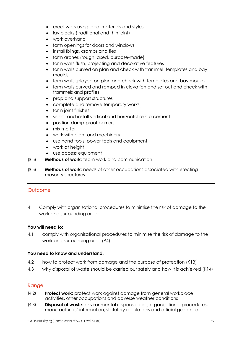- erect walls using local materials and styles
- lay blocks (traditional and thin joint)
- work overhand
- form openings for doors and windows
- install fixings, cramps and ties
- form arches (rough, axed, purpose-made)
- form walls flush, projecting and decorative features
- form walls curved on plan and check with trammel, templates and bay moulds
- form walls splayed on plan and check with templates and bay moulds
- form walls curved and ramped in elevation and set out and check with trammels and profiles
- prop and support structures
- complete and remove temporary works
- form joint finishes
- select and install vertical and horizontal reinforcement
- position damp-proof barriers
- mix mortar
- work with plant and machinery
- use hand tools, power tools and equipment
- work at height
- use access equipment
- **Methods of work:** team work and communication  $(5.5)$
- **Methods of work:** needs of other occupations associated with erecting masonry structures  $(3.5)$

4 Comply with organisational procedures to minimise the risk of damage to the work and surrounding area

#### **You will need to:**

4.1 comply with organisational procedures to minimise the risk of damage to the work and surrounding area (P4)

#### **You need to know and understand:**

- 4.2 how to protect work from damage and the purpose of protection (K13)
- 4.3 why disposal of waste should be carried out safely and how it is achieved (K14)

- **Protect work:** protect work against damage from general workplace activities, other occupations and adverse weather conditions  $(1, 2)$
- **Disposal of waste:** environmental responsibilities, organisational procedures, manufacturers' information, statutory regulations and official guidance  $\frac{1}{3}$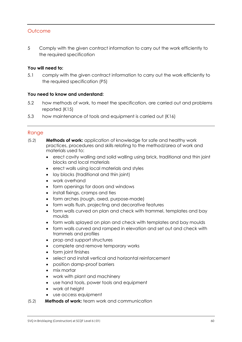5 Comply with the given contract information to carry out the work efficiently to the required specification

#### **You will need to:**

5.1 comply with the given contract information to carry out the work efficiently to the required specification (P5)

#### **You need to know and understand:**

- 5.2 how methods of work, to meet the specification, are carried out and problems reported (K15)
- 5.3 how maintenance of tools and equipment is carried out (K16)

- **Methods of work:** application of knowledge for safe and healthy work practices, procedures and skills relating to the method/area of work and materials used to:  $(5.2)$ 
	- erect cavity walling and solid walling using brick, traditional and thin joint blocks and local materials
	- erect walls using local materials and styles
	- lay blocks (traditional and thin joint)
	- work overhand
	- form openings for doors and windows
	- install fixings, cramps and ties
	- form arches (rough, axed, purpose-made)
	- **•** form walls flush, projecting and decorative features
	- form walls curved on plan and check with trammel, templates and bay moulds
	- form walls splayed on plan and check with templates and bay moulds
	- form walls curved and ramped in elevation and set out and check with trammels and profiles
	- prop and support structures
	- complete and remove temporary works
	- form joint finishes
	- select and install vertical and horizontal reinforcement
	- position damp-proof barriers
	- mix mortar
	- work with plant and machinery
	- use hand tools, power tools and equipment
	- work at height
	- use access equipment
- **Methods of work:** team work and communication  $(5.2)$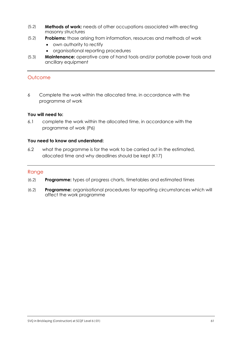- **Methods of work:** needs of other occupations associated with erecting masonry structures  $(5.2)$
- **Problems:** those arising from information, resources and methods of work  $(5.2)$ 
	- own authority to rectify
	- organisational reporting procedures
- **Maintenance:** operative care of hand tools and/or portable power tools and ancillary equipment  $(5.3)$

6 Complete the work within the allocated time, in accordance with the programme of work

#### **You will need to:**

6.1 complete the work within the allocated time, in accordance with the programme of work (P6)

#### **You need to know and understand:**

6.2 what the programme is for the work to be carried out in the estimated, allocated time and why deadlines should be kept (K17)

- **Programme:** types of progress charts, timetables and estimated times (6.2)
- **Programme:** organisational procedures for reporting circumstances which will affect the work programme  $(2)$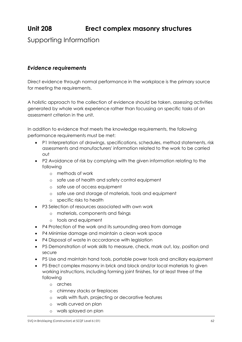# **Unit 208 Erect complex masonry structures**

## Supporting Information

## *Evidence requirements*

Direct evidence through normal performance in the workplace is the primary source for meeting the requirements.

A holistic approach to the collection of evidence should be taken, assessing activities generated by whole work experience rather than focussing on specific tasks of an assessment criterion in the unit.

In addition to evidence that meets the knowledge requirements, the following performance requirements must be met:

- P1 Interpretation of drawings, specifications, schedules, method statements, risk assessments and manufacturers' information related to the work to be carried out
- P2 Avoidance of risk by complying with the given information relating to the following
	- o methods of work
	- o safe use of health and safety control equipment
	- o safe use of access equipment
	- o safe use and storage of materials, tools and equipment
	- o specific risks to health
- P3 Selection of resources associated with own work
	- o materials, components and fixings
	- o tools and equipment
- P4 Protection of the work and its surrounding area from damage
- P4 Minimise damage and maintain a clean work space
- P4 Disposal of waste in accordance with leaislation
- P5 Demonstration of work skills to measure, check, mark out, lay, position and secure
- P5 Use and maintain hand tools, portable power tools and ancillary equipment
- P5 Erect complex masonry in brick and block and/or local materials to given working instructions, including forming joint finishes, for at least three of the following
	- o arches
	- o chimney stacks or fireplaces
	- o walls with flush, projecting or decorative features
	- o walls curved on plan
	- o walls splayed on plan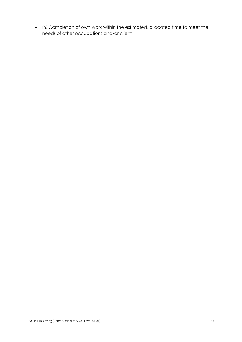P6 Completion of own work within the estimated, allocated time to meet the needs of other occupations and/or client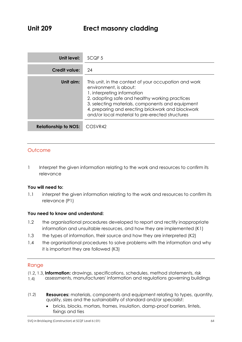## **Unit 209 Erect masonry cladding**

| Unit level:                 | SCQF <sub>5</sub>                                                                                                                                                                                                                                                                                                            |
|-----------------------------|------------------------------------------------------------------------------------------------------------------------------------------------------------------------------------------------------------------------------------------------------------------------------------------------------------------------------|
| <b>Credit value:</b>        | 24                                                                                                                                                                                                                                                                                                                           |
| Unit aim:                   | This unit, in the context of your occupation and work<br>environment, is about:<br>1. interpreting information<br>2. adopting safe and healthy working practices<br>3. selecting materials, components and equipment<br>4. preparing and erecting brickwork and blockwork<br>and/or local material to pre-erected structures |
| <b>Relationship to NOS:</b> | COSVR42                                                                                                                                                                                                                                                                                                                      |

#### **Outcome**

1 Interpret the given information relating to the work and resources to confirm its relevance

#### **You will need to:**

1.1 interpret the given information relating to the work and resources to confirm its relevance (P1)

#### **You need to know and understand:**

- 1.2 the organisational procedures developed to report and rectify inappropriate information and unsuitable resources, and how they are implemented (K1)
- 1.3 the types of information, their source and how they are interpreted (K2)
- 1.4 the organisational procedures to solve problems with the information and why it is important they are followed (K3)

- **Information:** drawings, specifications, schedules, method statements, risk
- assessments, manufacturers' information and regulations governing buildings  $(1.4)$ 1.4)
- **Resources:** materials, components and equipment relating to types, quantity, quality, sizes and the sustainability of standard and/or specialist:  $(1,2)$ 
	- bricks, blocks, mortars, frames, insulation, damp-proof barriers, lintels, fixings and ties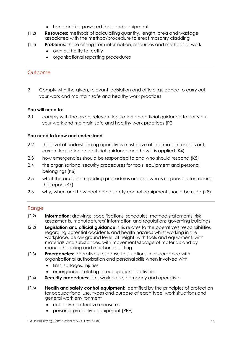- hand and/or powered tools and equipment
- **Resources:** methods of calculating quantity, length, area and wastage associated with the method/procedure to erect masonry cladding  $\frac{1}{2}$
- $(1.4)$ **Problems:** those arising from information, resources and methods of work  $\frac{1}{\sqrt{1-\frac{1}{2}}}$ 
	- own authority to rectify
	- organisational reporting procedures

2 Comply with the given, relevant legislation and official guidance to carry out your work and maintain safe and healthy work practices

#### **You will need to:**

2.1 comply with the given, relevant legislation and official guidance to carry out your work and maintain safe and healthy work practices (P2)

#### **You need to know and understand:**

- 2.2 the level of understanding operatives must have of information for relevant, current legislation and official guidance and how it is applied (K4)
- 2.3 how emergencies should be responded to and who should respond (K5)
- 2.4 the organisational security procedures for tools, equipment and personal belongings (K6)
- 2.5 what the accident reporting procedures are and who is responsible for making the report (K7)
- 2.6 why, when and how health and safety control equipment should be used (K8)

- $(2.2)$ **Information:** drawings, specifications, schedules, method statements, risk  $\sum_{i=1}^{n}$ assessments, manufacturers' information and regulations governing buildings
- **Legislation and official guidance:** this relates to the operative's responsibilities regarding potential accidents and health hazards whilst working in the workplace, below ground level, at height, with tools and equipment, with materials and substances, with movement/storage of materials and by manual handling and mechanical lifting  $\sum_{i=1}^{n}$
- **Emergencies:** operative's response to situations in accordance with organisational authorisation and personal skills when involved with  $(2.3)$ 
	- fires, spillages, injuries
	- emergencies relating to occupational activities
- **Security procedures:** site, workplace, company and operative  $\sum_{i=1}^{n}$
- **Health and safety control equipment:** identified by the principles of protection for occupational use, types and purpose of each type, work situations and general work environment  $\sum_{i=1}^{n}$ 
	- collective protective measures
	- personal protective equipment (PPE)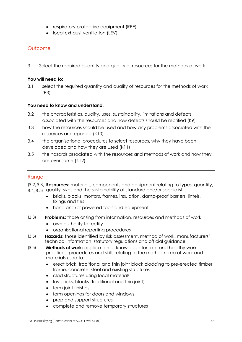- respiratory protective equipment (RPE)
- local exhaust ventilation (LEV)

3 Select the required quantity and quality of resources for the methods of work

#### **You will need to:**

3.1 select the required quantity and quality of resources for the methods of work (P3)

#### **You need to know and understand:**

- 3.2 the characteristics, quality, uses, sustainability, limitations and defects associated with the resources and how defects should be rectified (K9)
- 3.3 how the resources should be used and how any problems associated with the resources are reported (K10)
- 3.4 the organisational procedures to select resources, why they have been developed and how they are used (K11)
- 3.5 the hazards associated with the resources and methods of work and how they are overcome (K12)

## Range

**Resources:** materials, components and equipment relating to types, quantity,

- 3.4, 3.5) quality, sizes and the sustainability of standard and/or specialist: 3.4, 3.5)
	- bricks, blocks, mortars, frames, insulation, damp-proof barriers, lintels, fixings and ties
	- hand and/or powered tools and equipment
- **Problems:** those arising from information, resources and methods of work  $(3.3)$ 
	- own authority to rectify
	- organisational reporting procedures
- **Hazards:** those identified by risk assessment, method of work, manufacturers' technical information, statutory regulations and official guidance  $(3.5)$
- $(3.5)$ **Methods of work:** application of knowledge for safe and healthy work  $(3.5)$ practices, procedures and skills relating to the method/area of work and materials used to:
	- erect brick, traditional and thin joint block cladding to pre-erected timber frame, concrete, steel and existing structures
	- clad structures using local materials
	- lay bricks, blocks (traditional and thin joint)
	- form joint finishes
	- form openings for doors and windows
	- prop and support structures
	- complete and remove temporary structures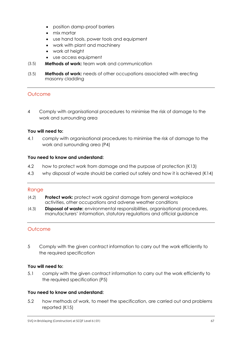- position damp-proof barriers
- mix mortar
- use hand tools, power tools and equipment
- work with plant and machinery
- work at height
- use access equipment
- **Methods of work:** team work and communication  $(3.5)$
- **Methods of work:** needs of other occupations associated with erecting  $(3.5)$  $(3.5)$ masonry cladding

4 Comply with organisational procedures to minimise the risk of damage to the work and surrounding area

#### **You will need to:**

4.1 comply with organisational procedures to minimise the risk of damage to the work and surrounding area (P4)

#### **You need to know and understand:**

- 4.2 how to protect work from damage and the purpose of protection (K13)
- 4.3 why disposal of waste should be carried out safely and how it is achieved (K14)

#### Range

- **Protect work:** protect work against damage from general workplace activities, other occupations and adverse weather conditions  $\frac{1}{2}$
- **Disposal of waste:** environmental responsibilities, organisational procedures,  $(4.3)$  $(1, 3)$ manufacturers' information, statutory regulations and official guidance

#### **Outcome**

5 Comply with the given contract information to carry out the work efficiently to the required specification

#### **You will need to:**

5.1 comply with the given contract information to carry out the work efficiently to the required specification (P5)

#### **You need to know and understand:**

5.2 how methods of work, to meet the specification, are carried out and problems reported (K15)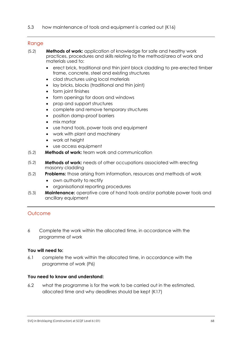#### Range

- **Methods of work:** application of knowledge for safe and healthy work practices, procedures and skills relating to the method/area of work and materials used to:  $(5.2)$ 
	- erect brick, traditional and thin joint block cladding to pre-erected timber frame, concrete, steel and existing structures
	- clad structures using local materials
	- lay bricks, blocks (traditional and thin joint)
	- form joint finishes
	- form openings for doors and windows
	- prop and support structures
	- complete and remove temporary structures
	- position damp-proof barriers
	- mix mortar
	- use hand tools, power tools and equipment
	- work with plant and machinery
	- work at height
	- use access equipment
- **Methods of work:** team work and communication  $(5.2)$
- **Methods of work:** needs of other occupations associated with erecting masonry cladding  $(5.2)$
- **Problems:** those arising from information, resources and methods of work  $(5.2)$ 
	- own authority to rectify
	- organisational reporting procedures
- **Maintenance:** operative care of hand tools and/or portable power tools and ancillary equipment  $(5.3)$

## Outcome

6 Complete the work within the allocated time, in accordance with the programme of work

#### **You will need to:**

6.1 complete the work within the allocated time, in accordance with the programme of work (P6)

#### **You need to know and understand:**

6.2 what the programme is for the work to be carried out in the estimated, allocated time and why deadlines should be kept (K17)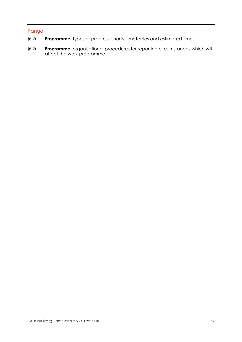- **Programme:** types of progress charts, timetables and estimated times (6.2)
- **Programme:** organisational procedures for reporting circumstances which will affect the work programme (6.2)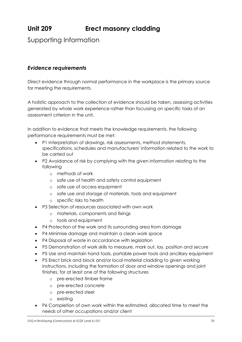# **Unit 209 Erect masonry cladding**

Supporting Information

## *Evidence requirements*

Direct evidence through normal performance in the workplace is the primary source for meeting the requirements.

A holistic approach to the collection of evidence should be taken, assessing activities generated by whole work experience rather than focussing on specific tasks of an assessment criterion in the unit.

In addition to evidence that meets the knowledge requirements, the following performance requirements must be met:

- P1 Interpretation of drawings, risk assessments, method statements, specifications, schedules and manufacturers' information related to the work to be carried out
- P2 Avoidance of risk by complying with the given information relating to the following
	- o methods of work
	- o safe use of health and safety control equipment
	- o safe use of access equipment
	- o safe use and storage of materials, tools and equipment
	- o specific risks to health
- P3 Selection of resources associated with own work
	- o materials, components and fixings
	- o tools and equipment
- P4 Protection of the work and its surrounding area from damage
- P4 Minimise damage and maintain a clean work space
- P4 Disposal of waste in accordance with leaislation
- P5 Demonstration of work skills to measure, mark out, lay, position and secure
- P5 Use and maintain hand tools, portable power tools and ancillary equipment
- P5 Erect brick and block and/or local material cladding to given working instructions, including the formation of door and window openings and joint finishes, for at least one of the following structures
	- o pre-erected timber frame
	- o pre-erected concrete
	- o pre-erected steel
	- o existing
- P6 Completion of own work within the estimated, allocated time to meet the needs of other occupations and/or client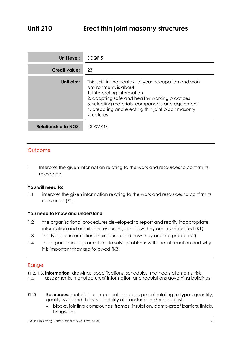| Unit level:                 | SCQF <sub>5</sub>                                                                                                                                                                                                                                                                        |
|-----------------------------|------------------------------------------------------------------------------------------------------------------------------------------------------------------------------------------------------------------------------------------------------------------------------------------|
| <b>Credit value:</b>        | 23                                                                                                                                                                                                                                                                                       |
| Unit aim:                   | This unit, in the context of your occupation and work<br>environment, is about:<br>1. interpreting information<br>2. adopting safe and healthy working practices<br>3. selecting materials, components and equipment<br>4. preparing and erecting thin joint block masonry<br>structures |
| <b>Relationship to NOS:</b> | COSVR44                                                                                                                                                                                                                                                                                  |

1 Interpret the given information relating to the work and resources to confirm its relevance

#### **You will need to:**

1.1 interpret the given information relating to the work and resources to confirm its relevance (P1)

#### **You need to know and understand:**

- 1.2 the organisational procedures developed to report and rectify inappropriate information and unsuitable resources, and how they are implemented (K1)
- 1.3 the types of information, their source and how they are interpreted (K2)
- 1.4 the organisational procedures to solve problems with the information and why it is important they are followed (K3)

- **Information:** drawings, specifications, schedules, method statements, risk
- assessments, manufacturers' information and regulations governing buildings  $(1.4)$ 1.4)
- **Resources:** materials, components and equipment relating to types, quantity, quality, sizes and the sustainability of standard and/or specialist:  $(1,2)$ 
	- blocks, jointing compounds, frames, insulation, damp-proof barriers, lintels, fixings, ties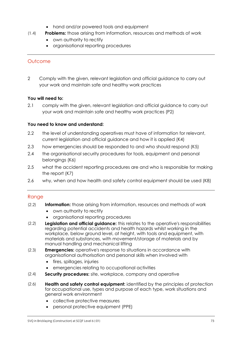- hand and/or powered tools and equipment
- **Problems:** those arising from information, resources and methods of work  $\frac{1}{\sqrt{1-\frac{1}{2}}}$ 
	- own authority to rectify
	- organisational reporting procedures

2 Comply with the given, relevant legislation and official guidance to carry out your work and maintain safe and healthy work practices

## **You will need to:**

2.1 comply with the given, relevant legislation and official guidance to carry out your work and maintain safe and healthy work practices (P2)

## **You need to know and understand:**

- 2.2 the level of understanding operatives must have of information for relevant, current legislation and official guidance and how it is applied (K4)
- 2.3 how emergencies should be responded to and who should respond (K5)
- 2.4 the organisational security procedures for tools, equipment and personal belongings (K6)
- 2.5 what the accident reporting procedures are and who is responsible for making the report (K7)
- 2.6 why, when and how health and safety control equipment should be used (K8)

- **Information:** those arising from information, resources and methods of work  $(2.2)$ 
	- own authority to rectify
	- organisational reporting procedures
- **Legislation and official guidance:** this relates to the operative's responsibilities regarding potential accidents and health hazards whilst working in the workplace, below ground level, at height, with tools and equipment, with materials and substances, with movement/storage of materials and by manual handling and mechanical lifting  $(2.2)$
- **Emergencies:** operative's response to situations in accordance with organisational authorisation and personal skills when involved with  $\sum_{i=1}^{n}$ 
	- fires, spillages, injuries
	- emergencies relating to occupational activities
- **Security procedures:** site, workplace, company and operative  $(2.4)$
- **Health and safety control equipment:** identified by the principles of protection for occupational use, types and purpose of each type, work situations and general work environment  $(2.6)$ 
	- collective protective measures
	- personal protective equipment (PPE)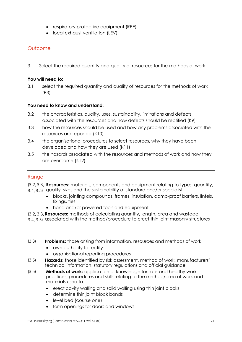- respiratory protective equipment (RPE)
- local exhaust ventilation (LEV)

3 Select the required quantity and quality of resources for the methods of work

## **You will need to:**

3.1 select the required quantity and quality of resources for the methods of work (P3)

## **You need to know and understand:**

- 3.2 the characteristics, quality, uses, sustainability, limitations and defects associated with the resources and how defects should be rectified (K9)
- 3.3 how the resources should be used and how any problems associated with the resources are reported (K10)
- 3.4 the organisational procedures to select resources, why they have been developed and how they are used (K11)
- 3.5 the hazards associated with the resources and methods of work and how they are overcome (K12)

## Range

- **Resources:** materials, components and equipment relating to types, quantity,
- 3.4, 3.5) quality, sizes and the sustainability of standard and/or specialist: 3.4, 3.5)
	- blocks, jointing compounds, frames, insulation, damp-proof barriers, lintels, fixings, ties
	- hand and/or powered tools and equipment
- **Resources:** methods of calculating quantity, length, area and wastage
- associated with the method/procedure to erect thin joint masonry structures 3.4, 3.5)

#### **Problems:** those arising from information, resources and methods of work  $(3.3)$

- own authority to rectify
- organisational reporting procedures
- **Hazards:** those identified by risk assessment, method of work, manufacturers' technical information, statutory regulations and official guidance  $(5.5)$
- **Methods of work:** application of knowledge for safe and healthy work practices, procedures and skills relating to the method/area of work and materials used to:  $(3.5)$ 
	- erect cavity walling and solid walling using thin joint blocks
	- determine thin joint block bonds
	- level bed (course one)
	- form openings for doors and windows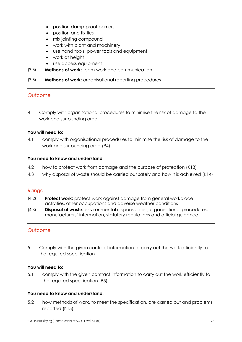- position damp-proof barriers
- position and fix ties
- mix jointing compound
- work with plant and machinery
- use hand tools, power tools and equipment
- work at height
- use access equipment
- $(3.5)$ **Methods of work:** team work and communication  $(3.5)$
- **Methods of work:** organisational reporting procedures  $(3.5)$

4 Comply with organisational procedures to minimise the risk of damage to the work and surrounding area

## **You will need to:**

4.1 comply with organisational procedures to minimise the risk of damage to the work and surrounding area (P4)

## **You need to know and understand:**

- 4.2 how to protect work from damage and the purpose of protection (K13)
- 4.3 why disposal of waste should be carried out safely and how it is achieved (K14)

## **Range**

- **Protect work:** protect work against damage from general workplace  $(4.2)$  $(1, 2)$ activities, other occupations and adverse weather conditions
- **Disposal of waste:** environmental responsibilities, organisational procedures, manufacturers' information, statutory regulations and official guidance  $(1, 3)$

## **Outcome**

5 Comply with the given contract information to carry out the work efficiently to the required specification

## **You will need to:**

5.1 comply with the given contract information to carry out the work efficiently to the required specification (P5)

## **You need to know and understand:**

5.2 how methods of work, to meet the specification, are carried out and problems reported (K15)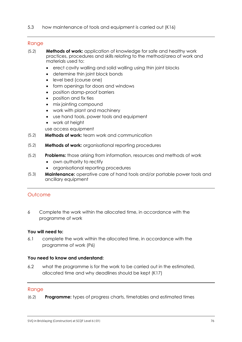#### Range

- **Methods of work:** application of knowledge for safe and healthy work practices, procedures and skills relating to the method/area of work and materials used to:  $(5.2)$ 
	- erect cavity walling and solid walling using thin joint blocks
	- determine thin joint block bonds
	- level bed (course one)
	- form openings for doors and windows
	- position damp-proof barriers
	- position and fix ties
	- mix jointing compound
	- work with plant and machinery
	- use hand tools, power tools and equipment
	- work at height

use access equipment

- **Methods of work:** team work and communication  $(5.2)$
- **Methods of work:** organisational reporting procedures  $(5.2)$
- **Problems:** those arising from information, resources and methods of work  $(5.2)$ 
	- own authority to rectify
	- organisational reporting procedures
- **Maintenance:** operative care of hand tools and/or portable power tools and ancillary equipment  $(5.3)$

## **Outcome**

6 Complete the work within the allocated time, in accordance with the programme of work

#### **You will need to:**

6.1 complete the work within the allocated time, in accordance with the programme of work (P6)

## **You need to know and understand:**

6.2 what the programme is for the work to be carried out in the estimated, allocated time and why deadlines should be kept (K17)

#### **Range**

**Programme:** types of progress charts, timetables and estimated times  $(2)$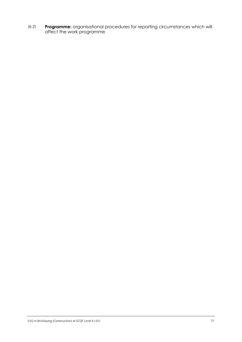**Programme:** organisational procedures for reporting circumstances which will affect the work programme (6.2)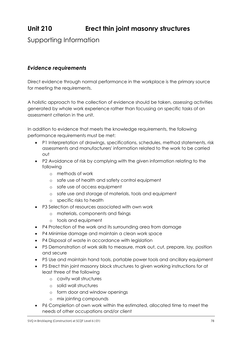# **Unit 210 Erect thin joint masonry structures**

## Supporting Information

## *Evidence requirements*

Direct evidence through normal performance in the workplace is the primary source for meeting the requirements.

A holistic approach to the collection of evidence should be taken, assessing activities generated by whole work experience rather than focussing on specific tasks of an assessment criterion in the unit.

In addition to evidence that meets the knowledge requirements, the following performance requirements must be met:

- P1 Interpretation of drawings, specifications, schedules, method statements, risk assessments and manufacturers' information related to the work to be carried out
- P2 Avoidance of risk by complying with the given information relating to the following
	- o methods of work
	- o safe use of health and safety control equipment
	- o safe use of access equipment
	- o safe use and storage of materials, tools and equipment
	- o specific risks to health
- P3 Selection of resources associated with own work
	- o materials, components and fixings
	- o tools and equipment
- P4 Protection of the work and its surrounding area from damage
- P4 Minimise damage and maintain a clean work space
- P4 Disposal of waste in accordance with leaislation
- P5 Demonstration of work skills to measure, mark out, cut, prepare, lay, position and secure
- P5 Use and maintain hand tools, portable power tools and ancillary equipment
- P5 Erect thin joint masonry block structures to given working instructions for at least three of the following
	- o cavity wall structures
	- o solid wall structures
	- o form door and window openings
	- o mix jointing compounds
- P6 Completion of own work within the estimated, allocated time to meet the needs of other occupations and/or client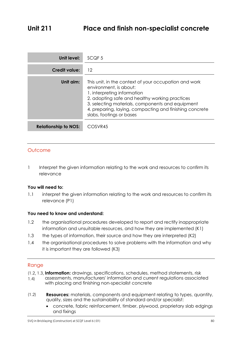| Unit level:                 | SCQF <sub>5</sub>                                                                                                                                                                                                                                                                                           |
|-----------------------------|-------------------------------------------------------------------------------------------------------------------------------------------------------------------------------------------------------------------------------------------------------------------------------------------------------------|
| <b>Credit value:</b>        | 12                                                                                                                                                                                                                                                                                                          |
| Unit aim:                   | This unit, in the context of your occupation and work<br>environment, is about:<br>1. interpreting information<br>2. adopting safe and healthy working practices<br>3. selecting materials, components and equipment<br>4. preparing, laying, compacting and finishing concrete<br>slabs, footings or bases |
| <b>Relationship to NOS:</b> | COSVR45                                                                                                                                                                                                                                                                                                     |

1 Interpret the given information relating to the work and resources to confirm its relevance

#### **You will need to:**

1.1 interpret the given information relating to the work and resources to confirm its relevance (P1)

## **You need to know and understand:**

- 1.2 the organisational procedures developed to report and rectify inappropriate information and unsuitable resources, and how they are implemented (K1)
- 1.3 the types of information, their source and how they are interpreted (K2)
- 1.4 the organisational procedures to solve problems with the information and why it is important they are followed (K3)

- **Information:** drawings, specifications, schedules, method statements, risk
- assessments, manufacturers' information and current regulations associated with placing and finishing non-specialist concrete  $(1.4)$ 1.4)
- **Resources:** materials, components and equipment relating to types, quantity, quality, sizes and the sustainability of standard and/or specialist:  $(1,2)$ 
	- concrete, fabric reinforcement, timber, plywood, proprietary slab edgings and fixings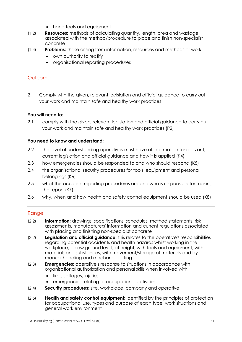- hand tools and equipment
- **Resources:** methods of calculating quantity, length, area and wastage associated with the method/procedure to place and finish non-specialist concrete  $\frac{1}{2}$
- **Problems:** those arising from information, resources and methods of work  $\frac{1}{\sqrt{1-\frac{1}{2}}}$ 
	- own authority to rectify
	- organisational reporting procedures

2 Comply with the given, relevant legislation and official guidance to carry out your work and maintain safe and healthy work practices

## **You will need to:**

2.1 comply with the given, relevant legislation and official guidance to carry out your work and maintain safe and healthy work practices (P2)

## **You need to know and understand:**

- 2.2 the level of understanding operatives must have of information for relevant, current legislation and official guidance and how it is applied (K4)
- 2.3 how emergencies should be responded to and who should respond (K5)
- 2.4 the organisational security procedures for tools, equipment and personal belongings (K6)
- 2.5 what the accident reporting procedures are and who is responsible for making the report (K7)
- 2.6 why, when and how health and safety control equipment should be used (K8)

- **Information:** drawings, specifications, schedules, method statements, risk assessments, manufacturers' information and current regulations associated with placing and finishing non-specialist concrete  $(2.2)$
- **Legislation and official guidance:** this relates to the operative's responsibilities regarding potential accidents and health hazards whilst working in the workplace, below ground level, at height, with tools and equipment, with materials and substances, with movement/storage of materials and by manual handling and mechanical lifting  $(2.2)$
- **Emergencies:** operative's response to situations in accordance with organisational authorisation and personal skills when involved with  $\sum_{i=1}^{n}$ 
	- fires, spillages, injuries
	- emergencies relating to occupational activities
- **Security procedures:** site, workplace, company and operative  $(2.4)$
- **Health and safety control equipment:** identified by the principles of protection for occupational use, types and purpose of each type, work situations and general work environment  $(2.6)$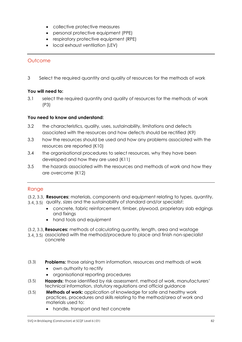- collective protective measures
- personal protective equipment (PPE)
- respiratory protective equipment (RPE)
- local exhaust ventilation (LEV)

3 Select the required quantity and quality of resources for the methods of work

## **You will need to:**

3.1 select the required quantity and quality of resources for the methods of work (P3)

## **You need to know and understand:**

- 3.2 the characteristics, quality, uses, sustainability, limitations and defects associated with the resources and how defects should be rectified (K9)
- 3.3 how the resources should be used and how any problems associated with the resources are reported (K10)
- 3.4 the organisational procedures to select resources, why they have been developed and how they are used (K11)
- 3.5 the hazards associated with the resources and methods of work and how they are overcome (K12)

## Range

**Resources:** materials, components and equipment relating to types, quantity,

- 3.4, 3.5) quality, sizes and the sustainability of standard and/or specialist: 3.4, 3.5)
	- concrete, fabric reinforcement, timber, plywood, proprietary slab edgings and fixings
	- hand tools and equipment
- **Resources:** methods of calculating quantity, length, area and wastage
- associated with the method/procedure to place and finish non-specialist concrete  $3.5$   $3.5$
- **Problems:** those arising from information, resources and methods of work  $(3.3)$ 
	- own authority to rectify
	- organisational reporting procedures
- **Hazards:** those identified by risk assessment, method of work, manufacturers' technical information, statutory regulations and official guidance  $(5.5)$
- **Methods of work:** application of knowledge for safe and healthy work practices, procedures and skills relating to the method/area of work and materials used to:  $(3.5)$ 
	- handle, transport and test concrete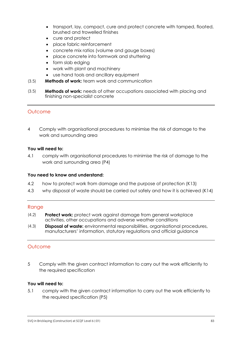- transport, lay, compact, cure and protect concrete with tamped, floated, brushed and trowelled finishes
- cure and protect
- place fabric reinforcement
- concrete mix ratios (volume and gauge boxes)
- place concrete into formwork and shuttering
- form slab edging
- work with plant and machinery
- use hand tools and ancillary equipment
- **Methods of work:** team work and communication  $(3.5)$
- **Methods of work:** needs of other occupations associated with placing and finishing non-specialist concrete  $(3.5)$

4 Comply with organisational procedures to minimise the risk of damage to the work and surrounding area

## **You will need to:**

4.1 comply with organisational procedures to minimise the risk of damage to the work and surrounding area (P4)

## **You need to know and understand:**

- 4.2 how to protect work from damage and the purpose of protection (K13)
- 4.3 why disposal of waste should be carried out safely and how it is achieved (K14)

## **Range**

- **Protect work:** protect work against damage from general workplace activities, other occupations and adverse weather conditions  $(1, 2)$
- **Disposal of waste:** environmental responsibilities, organisational procedures, manufacturers' information, statutory regulations and official guidance  $(1, 3)$

## **Outcome**

5 Comply with the given contract information to carry out the work efficiently to the required specification

## **You will need to:**

5.1 comply with the given contract information to carry out the work efficiently to the required specification (P5)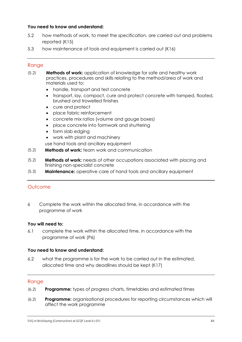## **You need to know and understand:**

- 5.2 how methods of work, to meet the specification, are carried out and problems reported (K15)
- 5.3 how maintenance of tools and equipment is carried out (K16)

## **Range**

- **Methods of work:** application of knowledge for safe and healthy work practices, procedures and skills relating to the method/area of work and materials used to:  $(5.2)$ 
	- handle, transport and test concrete
	- transport, lay, compact, cure and protect concrete with tamped, floated, brushed and trowelled finishes
	- cure and protect
	- place fabric reinforcement
	- concrete mix ratios (volume and gauge boxes)
	- place concrete into formwork and shuttering
	- form slab edging
	- work with plant and machinery
	- use hand tools and ancillary equipment
- **Methods of work:** team work and communication  $(5.2)$
- **Methods of work:** needs of other occupations associated with placing and finishing non-specialist concrete  $(5.2)$
- **Maintenance:** operative care of hand tools and ancillary equipment  $(5.3)$

## **Outcome**

6 Complete the work within the allocated time, in accordance with the programme of work

#### **You will need to:**

6.1 complete the work within the allocated time, in accordance with the programme of work (P6)

#### **You need to know and understand:**

6.2 what the programme is for the work to be carried out in the estimated, allocated time and why deadlines should be kept (K17)

- **Programme:** types of progress charts, timetables and estimated times  $(2, 2)$
- **Programme:** organisational procedures for reporting circumstances which will affect the work programme  $(2, 2)$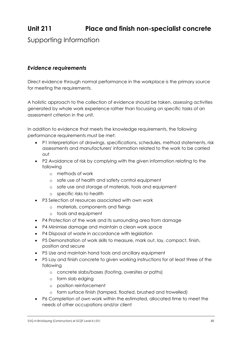# **Unit 211 Place and finish non-specialist concrete**

Supporting Information

## *Evidence requirements*

Direct evidence through normal performance in the workplace is the primary source for meeting the requirements.

A holistic approach to the collection of evidence should be taken, assessing activities generated by whole work experience rather than focussing on specific tasks of an assessment criterion in the unit.

In addition to evidence that meets the knowledge requirements, the following performance requirements must be met:

- P1 Interpretation of drawings, specifications, schedules, method statements, risk assessments and manufacturers' information related to the work to be carried out
- P2 Avoidance of risk by complying with the given information relating to the following
	- o methods of work
	- o safe use of health and safety control equipment
	- o safe use and storage of materials, tools and equipment
	- o specific risks to health
- P3 Selection of resources associated with own work
	- o materials, components and fixings
	- o tools and equipment
- P4 Protection of the work and its surrounding area from damage
- P4 Minimise damage and maintain a clean work space
- P4 Disposal of waste in accordance with leaislation
- P5 Demonstration of work skills to measure, mark out, lay, compact, finish, position and secure
- P5 Use and maintain hand tools and ancillary equipment
- P5 Lay and finish concrete to given working instructions for at least three of the following
	- o concrete slabs/bases (footing, oversites or paths)
	- o form slab edging
	- o position reinforcement
	- o form surface finish (tamped, floated, brushed and trowelled)
- P6 Completion of own work within the estimated, allocated time to meet the needs of other occupations and/or client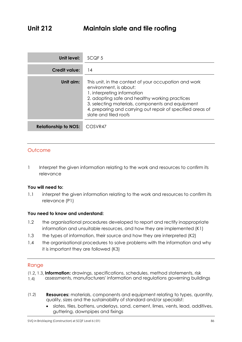| Unit level:                 | SCQF <sub>5</sub>                                                                                                                                                                                                                                                                                           |
|-----------------------------|-------------------------------------------------------------------------------------------------------------------------------------------------------------------------------------------------------------------------------------------------------------------------------------------------------------|
| <b>Credit value:</b>        | 14                                                                                                                                                                                                                                                                                                          |
| Unit aim:                   | This unit, in the context of your occupation and work<br>environment, is about:<br>1. interpreting information<br>2. adopting safe and healthy working practices<br>3. selecting materials, components and equipment<br>4. preparing and carrying out repair of specified areas of<br>slate and tiled roofs |
| <b>Relationship to NOS:</b> | COSVR47                                                                                                                                                                                                                                                                                                     |

1 Interpret the given information relating to the work and resources to confirm its relevance

## **You will need to:**

1.1 interpret the given information relating to the work and resources to confirm its relevance (P1)

## **You need to know and understand:**

- 1.2 the organisational procedures developed to report and rectify inappropriate information and unsuitable resources, and how they are implemented (K1)
- 1.3 the types of information, their source and how they are interpreted (K2)
- 1.4 the organisational procedures to solve problems with the information and why it is important they are followed (K3)

- **Information:** drawings, specifications, schedules, method statements, risk
- assessments, manufacturers' information and regulations governing buildings  $(1.4)$ 1.4)
- **Resources:** materials, components and equipment relating to types, quantity, quality, sizes and the sustainability of standard and/or specialist:  $(1,2)$ 
	- slates, tiles, battens, underlays, sand, cement, limes, vents, lead, additives, guttering, downpipes and fixings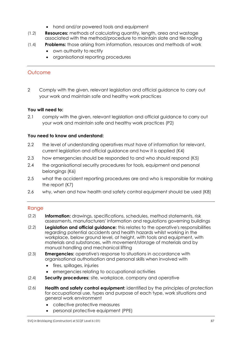- hand and/or powered tools and equipment
- **Resources:** methods of calculating quantity, length, area and wastage associated with the method/procedure to maintain slate and tile roofing  $\frac{1}{2}$
- $(1.4)$ **Problems:** those arising from information, resources and methods of work  $\frac{1}{\sqrt{1-\frac{1}{2}}}$ 
	- own authority to rectify
	- organisational reporting procedures

2 Comply with the given, relevant legislation and official guidance to carry out your work and maintain safe and healthy work practices

## **You will need to:**

2.1 comply with the given, relevant legislation and official guidance to carry out your work and maintain safe and healthy work practices (P2)

#### **You need to know and understand:**

- 2.2 the level of understanding operatives must have of information for relevant, current legislation and official guidance and how it is applied (K4)
- 2.3 how emergencies should be responded to and who should respond (K5)
- 2.4 the organisational security procedures for tools, equipment and personal belongings (K6)
- 2.5 what the accident reporting procedures are and who is responsible for making the report (K7)
- 2.6 why, when and how health and safety control equipment should be used (K8)

- $(2.2)$ **Information:** drawings, specifications, schedules, method statements, risk  $\sum_{i=1}^{n}$ assessments, manufacturers' information and regulations governing buildings
- **Legislation and official guidance:** this relates to the operative's responsibilities regarding potential accidents and health hazards whilst working in the workplace, below ground level, at height, with tools and equipment, with materials and substances, with movement/storage of materials and by manual handling and mechanical lifting  $\sum_{i=1}^{n}$
- **Emergencies:** operative's response to situations in accordance with organisational authorisation and personal skills when involved with  $(2.3)$ 
	- fires, spillages, injuries
	- emergencies relating to occupational activities
- **Security procedures:** site, workplace, company and operative  $\sum_{i=1}^{n}$
- **Health and safety control equipment:** identified by the principles of protection for occupational use, types and purpose of each type, work situations and general work environment  $\sum_{i=1}^{n}$ 
	- collective protective measures
	- personal protective equipment (PPE)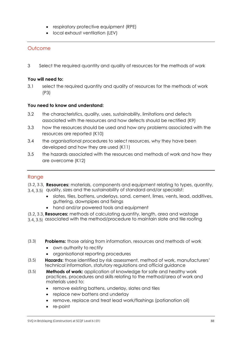- respiratory protective equipment (RPE)
- local exhaust ventilation (LEV)

3 Select the required quantity and quality of resources for the methods of work

#### **You will need to:**

3.1 select the required quantity and quality of resources for the methods of work (P3)

#### **You need to know and understand:**

- 3.2 the characteristics, quality, uses, sustainability, limitations and defects associated with the resources and how defects should be rectified (K9)
- 3.3 how the resources should be used and how any problems associated with the resources are reported (K10)
- 3.4 the organisational procedures to select resources, why they have been developed and how they are used (K11)
- 3.5 the hazards associated with the resources and methods of work and how they are overcome (K12)

## Range

**Resources:** materials, components and equipment relating to types, quantity,

- 3.4, 3.5) quality, sizes and the sustainability of standard and/or specialist: 3.4, 3.5)
	- slates, tiles, battens, underlays, sand, cement, limes, vents, lead, additives, guttering, downpipes and fixings
	- hand and/or powered tools and equipment
- **Resources:** methods of calculating quantity, length, area and wastage
- associated with the method/procedure to maintain slate and tile roofing 3.4, 3.5)

#### **Problems:** those arising from information, resources and methods of work  $(3.3)$

- own authority to rectify
- organisational reporting procedures
- **Hazards:** those identified by risk assessment, method of work, manufacturers' technical information, statutory regulations and official guidance  $(5.5)$
- **Methods of work:** application of knowledge for safe and healthy work practices, procedures and skills relating to the method/area of work and materials used to:  $(3.5)$ 
	- remove existing battens, underlay, slates and tiles
	- replace new battens and underlay
	- remove, replace and treat lead work/flashings (patianation oil)
	- re-point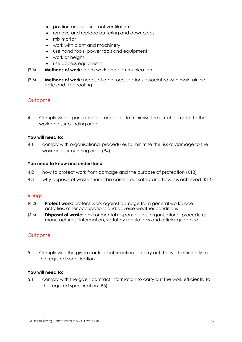- position and secure roof ventilation
- remove and replace guttering and downpipes
- mix mortar
- work with plant and machinery
- use hand tools, power tools and equipment
- work at height
- use access equipment
- $(3.5)$ **Methods of work:** team work and communication  $(3.5)$
- **Methods of work:** needs of other occupations associated with maintaining  $(3.5)$  $(3.5)$ slate and tiled roofing

4 Comply with organisational procedures to minimise the risk of damage to the work and surrounding area

#### **You will need to:**

4.1 comply with organisational procedures to minimise the risk of damage to the work and surrounding area (P4)

#### **You need to know and understand:**

- 4.2 how to protect work from damage and the purpose of protection (K13)
- 4.3 why disposal of waste should be carried out safely and how it is achieved (K14)

#### Range

- **Protect work:** protect work against damage from general workplace activities, other occupations and adverse weather conditions  $\frac{1}{2}$
- **Disposal of waste:** environmental responsibilities, organisational procedures, manufacturers' information, statutory regulations and official guidance  $(1, 3)$

## Outcome

5 Comply with the given contract information to carry out the work efficiently to the required specification

#### **You will need to:**

5.1 comply with the given contract information to carry out the work efficiently to the required specification (P5)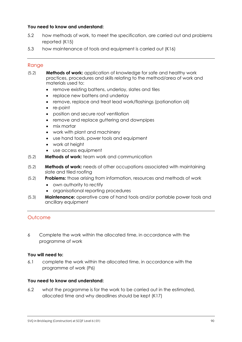## **You need to know and understand:**

- 5.2 how methods of work, to meet the specification, are carried out and problems reported (K15)
- 5.3 how maintenance of tools and equipment is carried out (K16)

## Range

- **Methods of work:** application of knowledge for safe and healthy work practices, procedures and skills relating to the method/area of work and materials used to:  $(5.2)$ 
	- remove existing battens, underlay, slates and tiles
	- replace new battens and underlay
	- remove, replace and treat lead work/flashings (patianation oil)
	- re-point
	- position and secure roof ventilation
	- remove and replace guttering and downpipes
	- mix mortar
	- work with plant and machinery
	- use hand tools, power tools and equipment
	- work at height
	- use access equipment
- **Methods of work:** team work and communication  $(5.2)$
- **Methods of work:** needs of other occupations associated with maintaining slate and tiled roofing  $(5.2)$
- **Problems:** those arising from information, resources and methods of work  $(5.2)$ 
	- own authority to rectify
	- organisational reporting procedures
- **Maintenance:** operative care of hand tools and/or portable power tools and ancillary equipment  $(5.3)$

## **Outcome**

6 Complete the work within the allocated time, in accordance with the programme of work

#### **You will need to:**

6.1 complete the work within the allocated time, in accordance with the programme of work (P6)

#### **You need to know and understand:**

6.2 what the programme is for the work to be carried out in the estimated, allocated time and why deadlines should be kept (K17)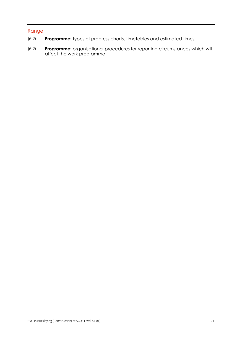- **Programme:** types of progress charts, timetables and estimated times (6.2)
- **Programme:** organisational procedures for reporting circumstances which will affect the work programme (6.2)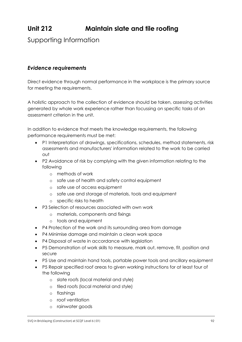## **Unit 212 Maintain slate and tile roofing**

## Supporting Information

## *Evidence requirements*

Direct evidence through normal performance in the workplace is the primary source for meeting the requirements.

A holistic approach to the collection of evidence should be taken, assessing activities generated by whole work experience rather than focussing on specific tasks of an assessment criterion in the unit.

In addition to evidence that meets the knowledge requirements, the following performance requirements must be met:

- P1 Interpretation of drawings, specifications, schedules, method statements, risk assessments and manufacturers' information related to the work to be carried out
- P2 Avoidance of risk by complying with the given information relating to the following
	- o methods of work
	- o safe use of health and safety control equipment
	- o safe use of access equipment
	- o safe use and storage of materials, tools and equipment
	- o specific risks to health
- P3 Selection of resources associated with own work
	- o materials, components and fixings
	- o tools and equipment
- P4 Protection of the work and its surrounding area from damage
- P4 Minimise damage and maintain a clean work space
- P4 Disposal of waste in accordance with legislation
- P5 Demonstration of work skills to measure, mark out, remove, fit, position and secure
- P5 Use and maintain hand tools, portable power tools and ancillary equipment
- P5 Repair specified roof areas to given working instructions for at least four of the following
	- o slate roofs (local material and style)
	- o tiled roofs (local material and style)
	- o flashings
	- o roof ventilation
	- o rainwater goods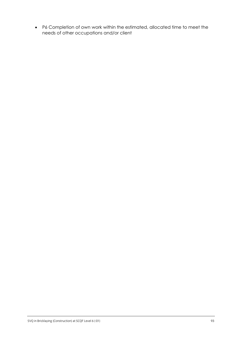P6 Completion of own work within the estimated, allocated time to meet the needs of other occupations and/or client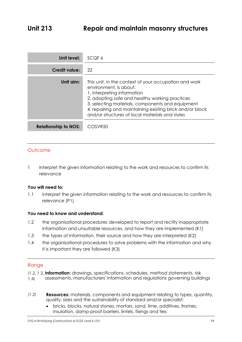| Unit level:                 | SCQF 6                                                                                                                                                                                                                                                                                                                              |
|-----------------------------|-------------------------------------------------------------------------------------------------------------------------------------------------------------------------------------------------------------------------------------------------------------------------------------------------------------------------------------|
| Credit value:               | 22                                                                                                                                                                                                                                                                                                                                  |
| Unit aim:                   | This unit, in the context of your occupation and work<br>environment, is about:<br>1. interpreting information<br>2. adopting safe and healthy working practices<br>3. selecting materials, components and equipment<br>4. repairing and maintaining existing brick and/or block<br>and/or structures of local materials and styles |
| <b>Relationship to NOS:</b> | COSVR <sub>50</sub>                                                                                                                                                                                                                                                                                                                 |

1 Interpret the given information relating to the work and resources to confirm its relevance

## **You will need to:**

1.1 interpret the given information relating to the work and resources to confirm its relevance (P1)

## **You need to know and understand:**

- 1.2 the organisational procedures developed to report and rectify inappropriate information and unsuitable resources, and how they are implemented (K1)
- 1.3 the types of information, their source and how they are interpreted (K2)
- 1.4 the organisational procedures to solve problems with the information and why it is important they are followed (K3)

- **Information:** drawings, specifications, schedules, method statements, risk
- assessments, manufacturers' information and regulations governing buildings  $(1.4)$ 1.4)
- **Resources:** materials, components and equipment relating to types, quantity, quality, sizes and the sustainability of standard and/or specialist:  $(1,2)$ 
	- bricks, blocks, natural stones, mortars, sand, lime, additives, frames, insulation, damp-proof barriers, lintels, fixings and ties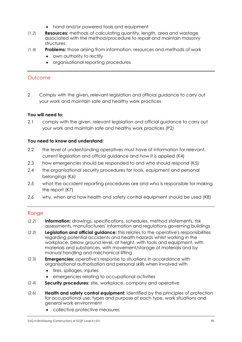- hand and/or powered tools and equipment
- **Resources:** methods of calculating quantity, length, area and wastage associated with the method/procedure to repair and maintain masonry structures  $\frac{1}{2}$
- **Problems:** those arising from information, resources and methods of work  $\frac{1}{\sqrt{1-\frac{1}{2}}}$ 
	- own authority to rectify
	- organisational reporting procedures

2 Comply with the given, relevant legislation and official guidance to carry out your work and maintain safe and healthy work practices

## **You will need to:**

2.1 comply with the given, relevant legislation and official guidance to carry out your work and maintain safe and healthy work practices (P2)

## **You need to know and understand:**

- 2.2 the level of understanding operatives must have of information for relevant, current legislation and official guidance and how it is applied (K4)
- 2.3 how emergencies should be responded to and who should respond (K5)
- 2.4 the organisational security procedures for tools, equipment and personal belongings (K6)
- 2.5 what the accident reporting procedures are and who is responsible for making the report (K7)
- 2.6 why, when and how health and safety control equipment should be used (K8)

- **Information:** drawings, specifications, schedules, method statements, risk assessments, manufacturers' information and regulations governing buildings  $(2.2)$
- **Legislation and official guidance:** this relates to the operative's responsibilities regarding potential accidents and health hazards whilst working in the workplace, below ground level, at height, with tools and equipment, with materials and substances, with movement/storage of materials and by manual handling and mechanical lifting  $\sum_{i=1}^{n}$
- **Emergencies:** operative's response to situations in accordance with organisational authorisation and personal skills when involved with (2.3)
	- fires, spillages, injuries
	- emergencies relating to occupational activities
- $(2.4)$ **Security procedures:** site, workplace, company and operative  $(2.4)$
- **Health and safety control equipment:** identified by the principles of protection  $(2.6)$  $(2.6)$ for occupational use, types and purpose of each type, work situations and general work environment
	- collective protective measures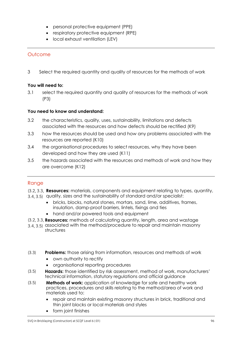- personal protective equipment (PPE)
- respiratory protective equipment (RPE)
- local exhaust ventilation (LEV)

3 Select the required quantity and quality of resources for the methods of work

## **You will need to:**

3.1 select the required quantity and quality of resources for the methods of work (P3)

## **You need to know and understand:**

- 3.2 the characteristics, quality, uses, sustainability, limitations and defects associated with the resources and how defects should be rectified (K9)
- 3.3 how the resources should be used and how any problems associated with the resources are reported (K10)
- 3.4 the organisational procedures to select resources, why they have been developed and how they are used (K11)
- 3.5 the hazards associated with the resources and methods of work and how they are overcome (K12)

- **Resources:** materials, components and equipment relating to types, quantity,
- 3.4, 3.5) quality, sizes and the sustainability of standard and/or specialist: 3.4, 3.5)
	- bricks, blocks, natural stones, mortars, sand, lime, additives, frames, insulation, damp-proof barriers, lintels, fixings and ties
	- hand and/or powered tools and equipment
- **Resources:** methods of calculating quantity, length, area and wastage
- associated with the method/procedure to repair and maintain masonry structures 3.4, 3.5)
- **Problems:** those arising from information, resources and methods of work (3.3)
	- own authority to rectify
	- organisational reporting procedures
- **Hazards:** those identified by risk assessment, method of work, manufacturers' technical information, statutory regulations and official guidance  $(3.5)$
- $(3.5)$ **Methods of work:** application of knowledge for safe and healthy work  $(5.5)$ practices, procedures and skills relating to the method/area of work and materials used to:
	- repair and maintain existing masonry structures in brick, traditional and thin joint blocks or local materials and styles
	- form joint finishes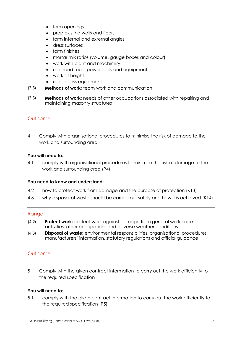- form openings
- prop existing walls and floors
- form internal and external angles
- dress surfaces
- form finishes
- mortar mix ratios (volume, gauge boxes and colour)
- work with plant and machinery
- use hand tools, power tools and equipment
- work at height
- use access equipment
- $(3.5)$ **Methods of work:** team work and communication  $(3.5)$
- **Methods of work:** needs of other occupations associated with repairing and  $(3.5)$  $(3.5)$ maintaining masonry structures

4 Comply with organisational procedures to minimise the risk of damage to the work and surrounding area

#### **You will need to:**

4.1 comply with organisational procedures to minimise the risk of damage to the work and surrounding area (P4)

## **You need to know and understand:**

- 4.2 how to protect work from damage and the purpose of protection (K13)
- 4.3 why disposal of waste should be carried out safely and how it is achieved (K14)

## Range

- **Protect work:** protect work against damage from general workplace activities, other occupations and adverse weather conditions  $\frac{1}{2}$
- **Disposal of waste:** environmental responsibilities, organisational procedures, manufacturers' information, statutory regulations and official guidance  $(1, 3)$

## Outcome

5 Comply with the given contract information to carry out the work efficiently to the required specification

## **You will need to:**

5.1 comply with the given contract information to carry out the work efficiently to the required specification (P5)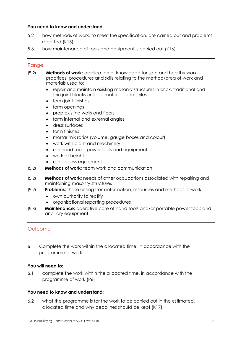## **You need to know and understand:**

- 5.2 how methods of work, to meet the specification, are carried out and problems reported (K15)
- 5.3 how maintenance of tools and equipment is carried out (K16)

## **Range**

- **Methods of work:** application of knowledge for safe and healthy work practices, procedures and skills relating to the method/area of work and materials used to:  $(5.2)$ 
	- repair and maintain existing masonry structures in brick, traditional and thin joint blocks or local materials and styles
	- form joint finishes
	- form openings
	- prop existing walls and floors
	- form internal and external angles
	- dress surfaces
	- form finishes
	- mortar mix ratios (volume, gauge boxes and colour)
	- work with plant and machinery
	- use hand tools, power tools and equipment
	- work at height
	- use access equipment
- **Methods of work:** team work and communication  $(5.2)$
- **Methods of work:** needs of other occupations associated with repairing and maintaining masonry structures  $(5.2)$
- **Problems:** those arising from information, resources and methods of work  $(5.2)$ 
	- own authority to rectify
	- organisational reporting procedures
- **Maintenance:** operative care of hand tools and/or portable power tools and ancillary equipment  $(5.3)$

## **Outcome**

6 Complete the work within the allocated time, in accordance with the programme of work

## **You will need to:**

6.1 complete the work within the allocated time, in accordance with the programme of work (P6)

## **You need to know and understand:**

6.2 what the programme is for the work to be carried out in the estimated, allocated time and why deadlines should be kept (K17)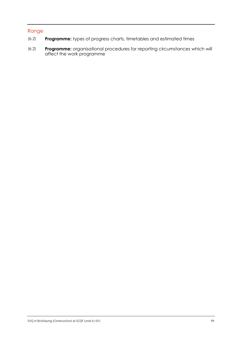- **Programme:** types of progress charts, timetables and estimated times (6.2)
- **Programme:** organisational procedures for reporting circumstances which will affect the work programme (6.2)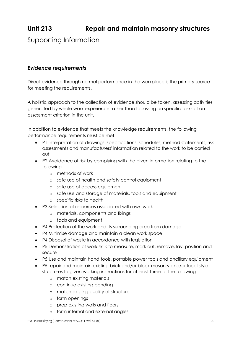# **Unit 213 Repair and maintain masonry structures**

Supporting Information

## *Evidence requirements*

Direct evidence through normal performance in the workplace is the primary source for meeting the requirements.

A holistic approach to the collection of evidence should be taken, assessing activities generated by whole work experience rather than focussing on specific tasks of an assessment criterion in the unit.

In addition to evidence that meets the knowledge requirements, the following performance requirements must be met:

- P1 Interpretation of drawings, specifications, schedules, method statements, risk assessments and manufacturers' information related to the work to be carried out
- P2 Avoidance of risk by complying with the given information relating to the following
	- o methods of work
	- o safe use of health and safety control equipment
	- o safe use of access equipment
	- o safe use and storage of materials, tools and equipment
	- o specific risks to health
- P3 Selection of resources associated with own work
	- o materials, components and fixings
	- o tools and equipment
- P4 Protection of the work and its surrounding area from damage
- P4 Minimise damage and maintain a clean work space
- P4 Disposal of waste in accordance with leaislation
- P5 Demonstration of work skills to measure, mark out, remove, lay, position and secure
- P5 Use and maintain hand tools, portable power tools and ancillary equipment
- P5 repair and maintain existing brick and/or block masonry and/or local style structures to given working instructions for at least three of the following
	- o match existing materials
	- o continue existing bonding
	- o match existing quality of structure
	- o form openings
	- o prop existing walls and floors
	- o form internal and external angles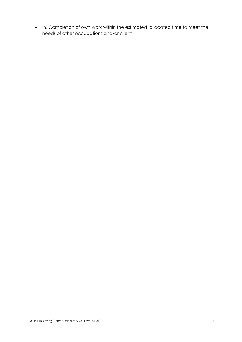P6 Completion of own work within the estimated, allocated time to meet the needs of other occupations and/or client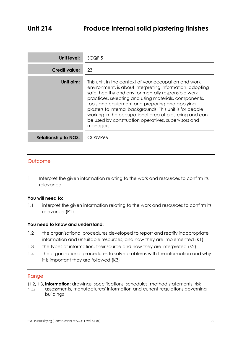| Unit level:                 | SCQF <sub>5</sub>                                                                                                                                                                                                                                                                                                                                                                                                                                                           |
|-----------------------------|-----------------------------------------------------------------------------------------------------------------------------------------------------------------------------------------------------------------------------------------------------------------------------------------------------------------------------------------------------------------------------------------------------------------------------------------------------------------------------|
| <b>Credit value:</b>        | 23                                                                                                                                                                                                                                                                                                                                                                                                                                                                          |
| Unit aim:                   | This unit, in the context of your occupation and work<br>environment, is about interpreting information, adopting<br>safe, healthy and environmentally responsible work<br>practices, selecting and using materials, components,<br>tools and equipment and preparing and applying<br>plasters to internal backgrounds This unit is for people<br>working in the occupational area of plastering and can<br>be used by construction operatives, supervisors and<br>managers |
| <b>Relationship to NOS:</b> | COSVR66                                                                                                                                                                                                                                                                                                                                                                                                                                                                     |

1 Interpret the given information relating to the work and resources to confirm its relevance

## **You will need to:**

1.1 interpret the given information relating to the work and resources to confirm its relevance (P1)

## **You need to know and understand:**

- 1.2 the organisational procedures developed to report and rectify inappropriate information and unsuitable resources, and how they are implemented (K1)
- 1.3 the types of information, their source and how they are interpreted (K2)
- 1.4 the organisational procedures to solve problems with the information and why it is important they are followed (K3)

- **Information:** drawings, specifications, schedules, method statements, risk
- assessments, manufacturers' information and current regulations governing buildings  $(1.4)$ 1.4)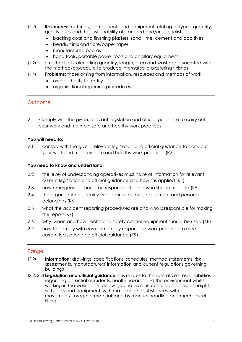- **Resources:** materials, components and equipment relating to types, quantity, quality, sizes and the sustainability of standard and/or specialist  $\frac{1}{2}$ 
	- backing coat and finishing plasters, sand, lime, cement and additives
	- beads, trims and fibre/paper tapes
	- manufactured boards
	- hand tools, portable power tools and ancillary equipment
- $(1.2)$ **:** methods of calculating quantity, length, area and wastage associated with  $\frac{1}{2}$ the method/procedure to produce internal solid plastering finishes
- **Problems:** those arising from information, resources and methods of work  $(1, 1)$ 
	- own authority to rectify
	- organisational reporting procedures

2 Comply with the given, relevant legislation and official guidance to carry out your work and maintain safe and healthy work practices

#### **You will need to:**

2.1 comply with the given, relevant legislation and official guidance to carry out your work and maintain safe and healthy work practices (P2)

#### **You need to know and understand:**

- 2.2 the level of understanding operatives must have of information for relevant, current legislation and official guidance and how it is applied (K4)
- 2.3 how emergencies should be responded to and who should respond (K5)
- 2.4 the organisational security procedures for tools, equipment and personal belongings (K6)
- 2.5 what the accident reporting procedures are and who is responsible for making the report (K7)
- 2.6 why, when and how health and safety control equipment should be used (K8)
- 2.7 how to comply with environmentally responsible work practices to meet current legislation and official guidance (K9)

- **Information:** drawings, specifications, schedules, method statements, risk assessments, manufacturers' information and current regulations governing buildings  $\sum_{i=1}^{n}$
- **Legislation and official guidance:** this relates to the operative's responsibilities regarding potential accidents, health hazards and the environment whilst working in the workplace, below ground level, in confined spaces, at height, with tools and equipment, with materials and substances, with movement/storage of materials and by manual handling and mechanical lifting  $\sum_{i=1}^{n}$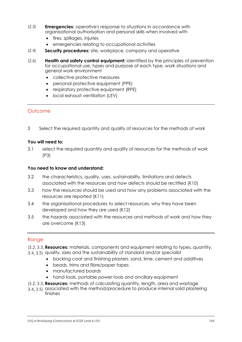- **Emergencies:** operative's response to situations in accordance with organisational authorisation and personal skills when involved with  $\sum_{i=1}^{n}$ 
	- fires, spillages, injuries
	- emergencies relating to occupational activities
- **Security procedures:** site, workplace, company and operative  $\sum_{i=1}^{n}$
- $(2.6)$ **Health and safety control equipment:** identified by the principles of prevention  $\sum_{i=1}^{n}$ for occupational use, types and purpose of each type, work situations and general work environment
	- collective protective measures
	- personal protective equipment (PPE)
	- respiratory protective equipment (RPE)
	- local exhaust ventilation (LEV)

3 Select the required quantity and quality of resources for the methods of work

#### **You will need to:**

3.1 select the required quantity and quality of resources for the methods of work (P3)

#### **You need to know and understand:**

- 3.2 the characteristics, quality, uses, sustainability, limitations and defects associated with the resources and how defects should be rectified (K10)
- 3.3 how the resources should be used and how any problems associated with the resources are reported (K11)
- 3.4 the organisational procedures to select resources, why they have been developed and how they are used (K12)
- 3.5 the hazards associated with the resources and methods of work and how they are overcome (K13)

- **Resources:** materials, components and equipment relating to types, quantity,
- and the state community components and engagement colling to the 3.4, 3.5) quality, sizes and the sustainability of standard and/or specialist  $3.5$   $3.5$ 
	- backing coat and finishing plasters, sand, lime, cement and additives
	- beads, trims and fibre/paper tapes
	- manufactured boards
	- hand tools, portable power tools and ancillary equipment
- **Resources:** methods of calculating quantity, length, area and wastage
- associated with the method/procedure to produce internal solid plastering 3.4, 3.5) associated with the method/procedure to produce internal solid plastering finishes 3.4, 3.5)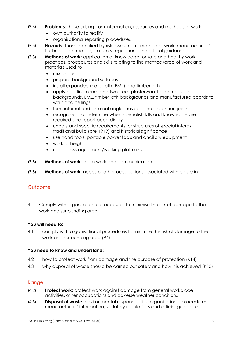- **Problems:** those arising from information, resources and methods of work  $(3.3)$ 
	- own authority to rectify
	- organisational reporting procedures
- **Hazards:** those identified by risk assessment, method of work, manufacturers' technical information, statutory regulations and official guidance  $(3.5)$
- **Methods of work:** application of knowledge for safe and healthy work  $(3.5)$  $(3.5)$ practices, procedures and skills relating to the method/area of work and materials used to
	- mix plaster
	- prepare background surfaces
	- install expanded metal lath (EML) and timber lath
	- apply and finish one- and two-coat plasterwork to internal solid backgrounds, EML, timber lath backgrounds and manufactured boards to walls and ceilings
	- form internal and external angles, reveals and expansion joints
	- recognise and determine when specialist skills and knowledge are required and report accordingly
	- understand specific requirements for structures of special interest, traditional build (pre 1919) and historical significance
	- use hand tools, portable power tools and ancillary equipment
	- work at height
	- use access equipment/working platforms
- **Methods of work:** team work and communication  $(3.5)$
- **Methods of work:** needs of other occupations associated with plastering  $(3.5)$

4 Comply with organisational procedures to minimise the risk of damage to the work and surrounding area

## **You will need to:**

4.1 comply with organisational procedures to minimise the risk of damage to the work and surrounding area (P4)

## **You need to know and understand:**

- 4.2 how to protect work from damage and the purpose of protection (K14)
- 4.3 why disposal of waste should be carried out safely and how it is achieved (K15)

- Protect work: protect work against damage from general workplace activities, other occupations and adverse weather conditions  $\frac{1}{2}$
- **Disposal of waste:** environmental responsibilities, organisational procedures, manufacturers' information, statutory regulations and official guidance  $(1, 3)$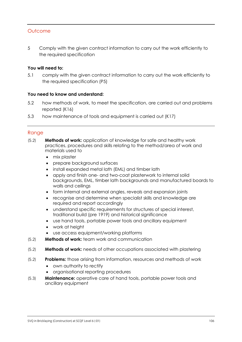5 Comply with the given contract information to carry out the work efficiently to the required specification

#### **You will need to:**

5.1 comply with the given contract information to carry out the work efficiently to the required specification (P5)

#### **You need to know and understand:**

- 5.2 how methods of work, to meet the specification, are carried out and problems reported (K16)
- 5.3 how maintenance of tools and equipment is carried out (K17)

- $(5.2)$ **Methods of work:** application of knowledge for safe and healthy work  $(5.2)$ practices, procedures and skills relating to the method/area of work and materials used to
	- mix plaster
	- prepare background surfaces
	- install expanded metal lath (EML) and timber lath
	- apply and finish one- and two-coat plasterwork to internal solid backgrounds, EML, timber lath backgrounds and manufactured boards to walls and ceilings
	- form internal and external angles, reveals and expansion joints
	- recognise and determine when specialist skills and knowledge are required and report accordingly
	- understand specific requirements for structures of special interest, traditional build (pre 1919) and historical significance
	- use hand tools, portable power tools and ancillary equipment
	- work at height
	- use access equipment/working platforms
- **Methods of work:** team work and communication  $(5.2)$
- **Methods of work:** needs of other occupations associated with plastering  $(5.2)$
- **Problems:** those arising from information, resources and methods of work  $(5.2)$ 
	- own authority to rectify
	- organisational reporting procedures
- **Maintenance:** operative care of hand tools, portable power tools and ancillary equipment  $(5.3)$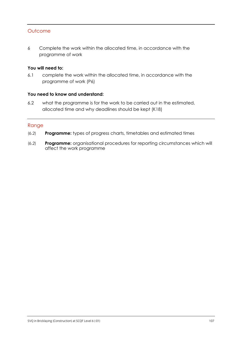6 Complete the work within the allocated time, in accordance with the programme of work

## **You will need to:**

6.1 complete the work within the allocated time, in accordance with the programme of work (P6)

#### **You need to know and understand:**

6.2 what the programme is for the work to be carried out in the estimated, allocated time and why deadlines should be kept (K18)

- **Programme:** types of progress charts, timetables and estimated times (6.2)
- **Programme:** organisational procedures for reporting circumstances which will affect the work programme  $(6.2)$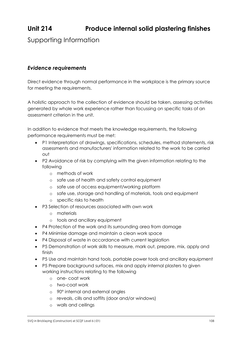## **Unit 214 Produce internal solid plastering finishes**

Supporting Information

## *Evidence requirements*

Direct evidence through normal performance in the workplace is the primary source for meeting the requirements.

A holistic approach to the collection of evidence should be taken, assessing activities generated by whole work experience rather than focussing on specific tasks of an assessment criterion in the unit.

In addition to evidence that meets the knowledge requirements, the following performance requirements must be met:

- P1 Interpretation of drawings, specifications, schedules, method statements, risk assessments and manufacturers' information related to the work to be carried out
- P2 Avoidance of risk by complying with the given information relating to the following
	- o methods of work
	- o safe use of health and safety control equipment
	- o safe use of access equipment/working platform
	- o safe use, storage and handling of materials, tools and equipment
	- o specific risks to health
- P3 Selection of resources associated with own work
	- o materials
	- o tools and ancillary equipment
- P4 Protection of the work and its surrounding area from damage
- P4 Minimise damage and maintain a clean work space
- P4 Disposal of waste in accordance with current legislation
- P5 Demonstration of work skills to measure, mark out, prepare, mix, apply and finish
- P5 Use and maintain hand tools, portable power tools and ancillary equipment
- P5 Prepare background surfaces, mix and apply internal plasters to given working instructions relating to the following
	- o one- coat work
	- o two-coat work
	- o 90° internal and external angles
	- o reveals, cills and soffits (door and/or windows)
	- o walls and ceilings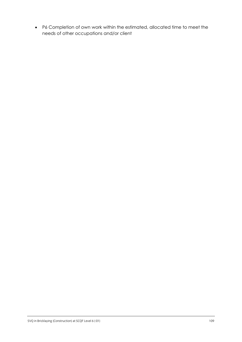P6 Completion of own work within the estimated, allocated time to meet the needs of other occupations and/or client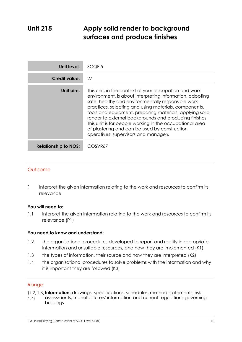## **Unit 215 Apply solid render to background surfaces and produce finishes**

| Unit level:                 | SCQF <sub>5</sub>                                                                                                                                                                                                                                                                                                                                                                                                                                                                                          |
|-----------------------------|------------------------------------------------------------------------------------------------------------------------------------------------------------------------------------------------------------------------------------------------------------------------------------------------------------------------------------------------------------------------------------------------------------------------------------------------------------------------------------------------------------|
| <b>Credit value:</b>        | 27                                                                                                                                                                                                                                                                                                                                                                                                                                                                                                         |
| Unit aim:                   | This unit, in the context of your occupation and work<br>environment, is about interpreting information, adopting<br>safe, healthy and environmentally responsible work<br>practices, selecting and using materials, components,<br>tools and equipment, preparing materials, applying solid<br>render to external backgrounds and producing finishes<br>This unit is for people working in the occupational area<br>of plastering and can be used by construction<br>operatives, supervisors and managers |
| <b>Relationship to NOS:</b> | COSVR67                                                                                                                                                                                                                                                                                                                                                                                                                                                                                                    |

#### **Outcome**

1 Interpret the given information relating to the work and resources to confirm its relevance

#### **You will need to:**

1.1 interpret the given information relating to the work and resources to confirm its relevance (P1)

#### **You need to know and understand:**

- 1.2 the organisational procedures developed to report and rectify inappropriate information and unsuitable resources, and how they are implemented (K1)
- 1.3 the types of information, their source and how they are interpreted (K2)
- 1.4 the organisational procedures to solve problems with the information and why it is important they are followed (K3)

- **Information:** drawings, specifications, schedules, method statements, risk
- assessments, manufacturers' information and current regulations governing buildings  $(1.4)$  $\frac{1}{4}$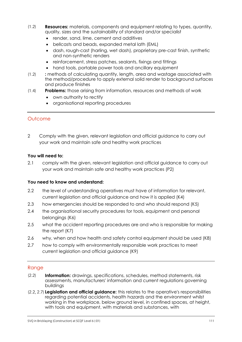- **Resources:** materials, components and equipment relating to types, quantity, quality, sizes and the sustainability of standard and/or specialist  $\frac{1}{2}$ 
	- render, sand, lime, cement and additives
	- bellcasts and beads, expanded metal lath (EML)
	- dash, rough-cast (harling, wet dash), proprietary pre-cast finish, synthetic and non-synthetic renders
	- reinforcement, stress patches, sealants, fixings and fittings
	- hand tools, portable power tools and ancillary equipment
- **:** methods of calculating quantity, length, area and wastage associated with the method/procedure to apply external solid render to background surfaces and produce finishes  $(1,2)$
- **Problems:** those arising from information, resources and methods of work  $(1, 1)$ 
	- own authority to rectify
	- organisational reporting procedures

2 Comply with the given, relevant legislation and official guidance to carry out your work and maintain safe and healthy work practices

#### **You will need to:**

2.1 comply with the given, relevant legislation and official guidance to carry out your work and maintain safe and healthy work practices (P2)

#### **You need to know and understand:**

- 2.2 the level of understanding operatives must have of information for relevant, current legislation and official guidance and how it is applied (K4)
- 2.3 how emergencies should be responded to and who should respond (K5)
- 2.4 the organisational security procedures for tools, equipment and personal belongings (K6)
- 2.5 what the accident reporting procedures are and who is responsible for making the report (K7)
- 2.6 why, when and how health and safety control equipment should be used (K8)
- 2.7 how to comply with environmentally responsible work practices to meet current legislation and official guidance (K9)

- **Information:** drawings, specifications, schedules, method statements, risk assessments, manufacturers' information and current regulations governing buildings  $\sum_{i=1}^{n}$
- **Legislation and official guidance:** this relates to the operative's responsibilities regarding potential accidents, health hazards and the environment whilst working in the workplace, below ground level, in confined spaces, at height, with tools and equipment, with materials and substances, with  $\sum_{i=1}^{n}$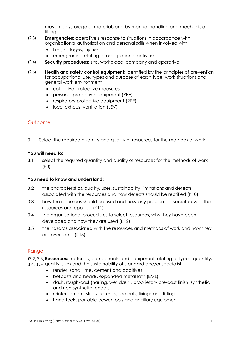movement/storage of materials and by manual handling and mechanical lifting

- **Emergencies:** operative's response to situations in accordance with organisational authorisation and personal skills when involved with  $\sum_{i=1}^{n}$ 
	- fires, spillages, injuries
	- emergencies relating to occupational activities
- **Security procedures:** site, workplace, company and operative  $\sum_{i=1}^{n}$
- **Health and safety control equipment:** identified by the principles of prevention for occupational use, types and purpose of each type, work situations and general work environment  $(2.6)$ 
	- collective protective measures
	- personal protective equipment (PPE)
	- respiratory protective equipment (RPE)
	- local exhaust ventilation (LEV)

#### Outcome

3 Select the required quantity and quality of resources for the methods of work

#### **You will need to:**

3.1 select the required quantity and quality of resources for the methods of work (P3)

#### **You need to know and understand:**

- 3.2 the characteristics, quality, uses, sustainability, limitations and defects associated with the resources and how defects should be rectified (K10)
- 3.3 how the resources should be used and how any problems associated with the resources are reported (K11)
- 3.4 the organisational procedures to select resources, why they have been developed and how they are used (K12)
- 3.5 the hazards associated with the resources and methods of work and how they are overcome (K13)

#### Range

 $3.5$   $3.5$ 

- **Resources:** materials, components and equipment relating to types, quantity, and the sustainability of standard and/or specialist and standard and of specialist
	- render, sand, lime, cement and additives
	- bellcasts and beads, expanded metal lath (EML)
	- dash, rough-cast (harling, wet dash), proprietary pre-cast finish, synthetic and non-synthetic renders
	- reinforcement, stress patches, sealants, fixings and fittings
	- hand tools, portable power tools and ancillary equipment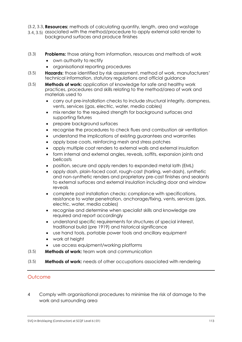- **Resources:** methods of calculating quantity, length, area and wastage
- associated with the method/procedure to apply external solid render to  $3.4, 3.5$ ) associated with the method/procedure to apply external solid render to background surfaces and produce finishes  $3.5$   $3.5$
- **Problems:** those arising from information, resources and methods of work  $(3.3)$ 
	- own authority to rectify
	- organisational reporting procedures
- **Hazards:** those identified by risk assessment, method of work, manufacturers' technical information, statutory regulations and official guidance  $(3.5)$
- **Methods of work:** application of knowledge for safe and healthy work  $(3.5)$  $(3.5)$ practices, procedures and skills relating to the method/area of work and materials used to
	- carry out pre-installation checks to include structural integrity, dampness, vents, services (gas, electric, water, media cables)
	- mix render to the required strength for background surfaces and supporting fixtures
	- prepare background surfaces
	- recognise the procedures to check flues and combustion air ventilation
	- understand the implications of existing guarantees and warranties
	- apply base coats, reinforcing mesh and stress patches
	- apply multiple coat renders to external walls and external insulation
	- form internal and external angles, reveals, soffits, expansion joints and bellcasts
	- position, secure and apply renders to expanded metal lath (EML)
	- apply dash, plain-faced coat, rough-cast (harling, wet-dash), synthetic and non-synthetic renders and proprietary pre-cast finishes and sealants to external surfaces and external insulation including door and window reveals
	- complete post installation checks: compliance with specifications, resistance to water penetration, anchorage/fixing, vents, services (gas, electric, water, media cables)
	- recognise and determine when specialist skills and knowledge are required and report accordingly
	- understand specific requirements for structures of special interest, traditional build (pre 1919) and historical significance
	- use hand tools, portable power tools and ancillary equipment
	- work at height
	- use access equipment/working platforms
- **Methods of work:** team work and communication  $(5.5)$
- **Methods of work:** needs of other occupations associated with rendering  $(5.5)$

4 Comply with organisational procedures to minimise the risk of damage to the work and surrounding area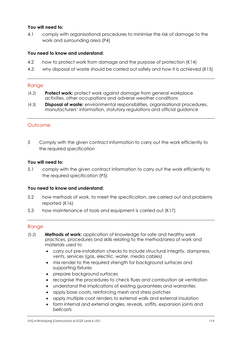#### **You will need to:**

4.1 comply with organisational procedures to minimise the risk of damage to the work and surrounding area (P4)

#### **You need to know and understand:**

- 4.2 how to protect work from damage and the purpose of protection (K14)
- 4.3 why disposal of waste should be carried out safely and how it is achieved (K15)

#### Range

- **Protect work:** protect work against damage from general workplace activities, other occupations and adverse weather conditions  $\frac{1}{2}$
- **Disposal of waste:** environmental responsibilities, organisational procedures, manufacturers' information, statutory regulations and official guidance  $(1, 3)$

#### **Outcome**

5 Comply with the given contract information to carry out the work efficiently to the required specification

#### **You will need to:**

5.1 comply with the given contract information to carry out the work efficiently to the required specification (P5)

#### **You need to know and understand:**

- 5.2 how methods of work, to meet the specification, are carried out and problems reported (K16)
- 5.3 how maintenance of tools and equipment is carried out (K17)

- **Methods of work:** application of knowledge for safe and healthy work practices, procedures and skills relating to the method/area of work and materials used to  $(5.2)$ 
	- carry out pre-installation checks to include structural integrity, dampness, vents, services (gas, electric, water, media cables)
	- mix render to the required strength for background surfaces and supporting fixtures
	- prepare background surfaces
	- recognise the procedures to check flues and combustion air ventilation
	- understand the implications of existing guarantees and warranties
	- apply base coats, reinforcing mesh and stress patches
	- apply multiple coat renders to external walls and external insulation
	- form internal and external angles, reveals, soffits, expansion joints and bellcasts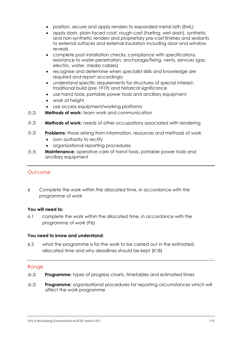- position, secure and apply renders to expanded metal lath (EML)
- apply dash, plain-faced coat, rough-cast (harling, wet-dash), synthetic and non-synthetic renders and proprietary pre-cast finishes and sealants to external surfaces and external insulation including door and window reveals
- complete post installation checks: compliance with specifications, resistance to water penetration, anchorage/fixing, vents, services (gas, electric, water, media cables)
- recognise and determine when specialist skills and knowledge are required and report accordingly
- understand specific requirements for structures of special interest, traditional build (pre 1919) and historical significance
- use hand tools, portable power tools and ancillary equipment
- work at height
- use access equipment/working platforms
- **Methods of work:** team work and communication  $(5.2)$
- **Methods of work:** needs of other occupations associated with rendering  $(5.2)$
- **Problems:** those arising from information, resources and methods of work  $(5.2)$ 
	- own authority to rectify
	- organisational reporting procedures
- **Maintenance:** operative care of hand tools, portable power tools and ancillary equipment  $(5.3)$

6 Complete the work within the allocated time, in accordance with the programme of work

#### **You will need to:**

6.1 complete the work within the allocated time, in accordance with the programme of work (P6)

#### **You need to know and understand:**

6.2 what the programme is for the work to be carried out in the estimated, allocated time and why deadlines should be kept (K18)

- **Programme:** types of progress charts, timetables and estimated times  $(2)$
- **Programme:** organisational procedures for reporting circumstances which will affect the work programme  $(2)$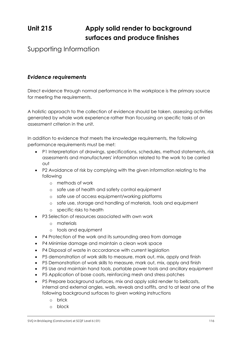# **Unit 215 Apply solid render to background surfaces and produce finishes**

## Supporting Information

#### *Evidence requirements*

Direct evidence through normal performance in the workplace is the primary source for meeting the requirements.

A holistic approach to the collection of evidence should be taken, assessing activities generated by whole work experience rather than focussing on specific tasks of an assessment criterion in the unit.

In addition to evidence that meets the knowledge requirements, the following performance requirements must be met:

- P1 Interpretation of drawings, specifications, schedules, method statements, risk assessments and manufacturers' information related to the work to be carried out
- P2 Avoidance of risk by complying with the given information relating to the following
	- o methods of work
	- o safe use of health and safety control equipment
	- o safe use of access equipment/working platforms
	- o safe use, storage and handling of materials, tools and equipment
	- o specific risks to health
- P3 Selection of resources associated with own work
	- o materials
	- o tools and equipment
- P4 Protection of the work and its surrounding area from damage
- P4 Minimise damage and maintain a clean work space
- P4 Disposal of waste in accordance with current legislation
- P5 demonstration of work skills to measure, mark out, mix, apply and finish
- P5 Demonstration of work skills to measure, mark out, mix, apply and finish
- P5 Use and maintain hand tools, portable power tools and ancillary equipment
- P5 Application of base coats, reinforcing mesh and stress patches
- P5 Prepare background surfaces, mix and apply solid render to bellcasts, internal and external angles, walls, reveals and soffits, and to at least one of the following background surfaces to given working instructions
	- o brick
	- o block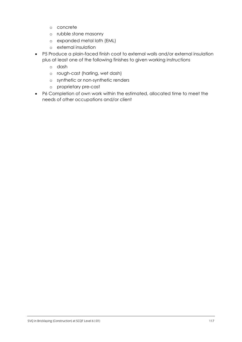- o concrete
- o rubble stone masonry
- o expanded metal lath (EML)
- o external insulation
- P5 Produce a plain-faced finish coat to external walls and/or external insulation plus at least one of the following finishes to given working instructions
	- o dash
	- o rough-cast (harling, wet dash)
	- o synthetic or non-synthetic renders
	- o proprietary pre-cast
- P6 Completion of own work within the estimated, allocated time to meet the needs of other occupations and/or client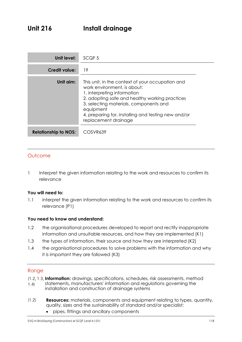| Unit level:                 | SCQF <sub>5</sub>                                                                                                                                                                                                                                                                                      |
|-----------------------------|--------------------------------------------------------------------------------------------------------------------------------------------------------------------------------------------------------------------------------------------------------------------------------------------------------|
| <b>Credit value:</b>        | 19                                                                                                                                                                                                                                                                                                     |
| Unit aim:                   | This unit, in the context of your occupation and<br>work environment, is about:<br>1. interpreting information<br>2. adopting safe and healthy working practices<br>3. selecting materials, components and<br>equipment<br>4. preparing for, installing and testing new and/or<br>replacement drainage |
| <b>Relationship to NOS:</b> | COSVR639                                                                                                                                                                                                                                                                                               |

1 Interpret the given information relating to the work and resources to confirm its relevance

#### **You will need to:**

1.1 interpret the given information relating to the work and resources to confirm its relevance (P1)

#### **You need to know and understand:**

- 1.2 the organisational procedures developed to report and rectify inappropriate information and unsuitable resources, and how they are implemented (K1)
- 1.3 the types of information, their source and how they are interpreted (K2)
- 1.4 the organisational procedures to solve problems with the information and why it is important they are followed (K3)

- **Information:** drawings, specifications, schedules, risk assessments, method
- statements, manufacturers' information and regulations governing the installation and construction of drainage systems  $(1.4)$ 1.4)
- **Resources:** materials, components and equipment relating to types, quantity, quality, sizes and the sustainability of standard and/or specialist:  $(1,2)$ 
	- pipes, fittings and ancillary components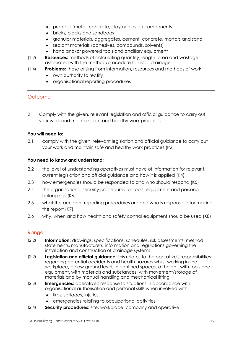- pre-cast (metal, concrete, clay or plastic) components
- bricks, blocks and sandbags
- granular materials, aggregates, cement, concrete, mortars and sand
- sealant materials (adhesives, compounds, solvents)
- hand and/or powered tools and ancillary equipment
- **Resources:** methods of calculating quantity, length, area and wastage associated with the method/procedure to install drainage  $\frac{1}{2}$
- **Problems:** those arising from information, resources and methods of work  $\frac{1}{\sqrt{1-\frac{1}{2}}}$ 
	- own authority to rectify
	- organisational reporting procedures

2 Comply with the given, relevant legislation and official guidance to carry out your work and maintain safe and healthy work practices

#### **You will need to:**

2.1 comply with the given, relevant legislation and official guidance to carry out your work and maintain safe and healthy work practices (P2)

#### **You need to know and understand:**

- 2.2 the level of understanding operatives must have of information for relevant, current legislation and official guidance and how it is applied (K4)
- 2.3 how emergencies should be responded to and who should respond (K5)
- 2.4 the organisational security procedures for tools, equipment and personal belongings (K6)
- 2.5 what the accident reporting procedures are and who is responsible for making the report (K7)
- 2.6 why, when and how health and safety control equipment should be used (K8)

- **Information:** drawings, specifications, schedules, risk assessments, method statements, manufacturers' information and regulations governing the installation and construction of drainage systems  $\sum_{i=1}^{n}$
- **Legislation and official guidance:** this relates to the operative's responsibilities regarding potential accidents and health hazards whilst working in the workplace, below ground level, in confined spaces, at height, with tools and equipment, with materials and substances, with movement/storage of materials and by manual handling and mechanical lifting  $\sum_{i=1}^{n}$
- **Emergencies:** operative's response to situations in accordance with organisational authorisation and personal skills when involved with  $\sum_{i=1}^{n}$ 
	- **•** fires, spillages, injuries
	- emergencies relating to occupational activities
- **Security procedures:** site, workplace, company and operative  $(2.4)$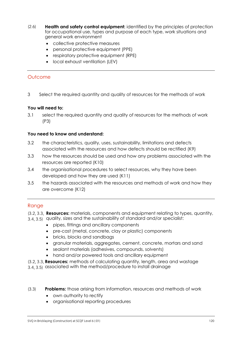- **Health and safety control equipment:** identified by the principles of protection for occupational use, types and purpose of each type, work situations and general work environment  $\sum_{i=1}^{n}$ 
	- collective protective measures
	- personal protective equipment (PPE)
	- respiratory protective equipment (RPE)
	- local exhaust ventilation (LEV)

3 Select the required quantity and quality of resources for the methods of work

#### **You will need to:**

3.1 select the required quantity and quality of resources for the methods of work (P3)

#### **You need to know and understand:**

- 3.2 the characteristics, quality, uses, sustainability, limitations and defects associated with the resources and how defects should be rectified (K9)
- 3.3 how the resources should be used and how any problems associated with the resources are reported (K10)
- 3.4 the organisational procedures to select resources, why they have been developed and how they are used (K11)
- 3.5 the hazards associated with the resources and methods of work and how they are overcome (K12)

#### Range

**Resources:** materials, components and equipment relating to types, quantity,

- and the sustainability of standard and/or specialist:<br>3.4, 3.5) quality, sizes and the sustainability of standard and/or specialist: 3.4, 3.5)
	- pipes, fittings and ancillary components
	- pre-cast (metal, concrete, clay or plastic) components
	- bricks, blocks and sandbags
	- granular materials, aggregates, cement, concrete, mortars and sand
	- sealant materials (adhesives, compounds, solvents)
	- hand and/or powered tools and ancillary equipment
- **Resources:** methods of calculating quantity, length, area and wastage
- associated with the method/procedure to install drainage  $3.5$   $3.5$
- **Problems:** those arising from information, resources and methods of work  $(3.3)$ 
	- own authority to rectify
	- organisational reporting procedures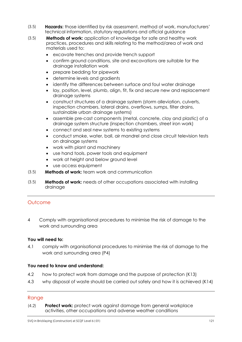- **Hazards:** those identified by risk assessment, method of work, manufacturers' technical information, statutory regulations and official guidance  $(3.5)$
- **Methods of work:** application of knowledge for safe and healthy work practices, procedures and skills relating to the method/area of work and materials used to:  $(3.5)$ 
	- excavate trenches and provide trench support
	- confirm ground conditions, site and excavations are suitable for the drainage installation work
	- prepare bedding for pipework
	- determine levels and gradients
	- identify the differences between surface and foul water drainage
	- lay, position, level, plumb, align, fit, fix and secure new and replacement drainage systems
	- construct structures of a drainage system (storm alleviation, culverts, inspection chambers, lateral drains, overflows, sumps, filter drains, sustainable urban drainage systems)
	- assemble pre-cast components (metal, concrete, clay and plastic) of a drainage system structure (inspection chambers, street iron work)
	- connect and seal new systems to existing systems
	- conduct smoke, water, ball, air mandrel and close circuit television tests on drainage systems
	- work with plant and machinery
	- use hand tools, power tools and equipment
	- work at height and below ground level
	- use access equipment
- **Methods of work:** team work and communication  $(3.5)$
- **Methods of work:** needs of other occupations associated with installing drainage  $(3.5)$

4 Comply with organisational procedures to minimise the risk of damage to the work and surrounding area

#### **You will need to:**

4.1 comply with organisational procedures to minimise the risk of damage to the work and surrounding area (P4)

#### **You need to know and understand:**

- 4.2 how to protect work from damage and the purpose of protection (K13)
- 4.3 why disposal of waste should be carried out safely and how it is achieved (K14)

#### Range

**Protect work:** protect work against damage from general workplace activities, other occupations and adverse weather conditions  $\frac{1}{2}$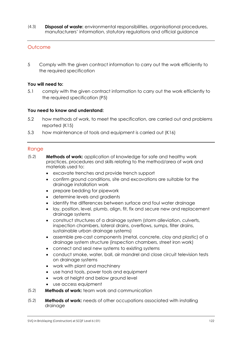**Disposal of waste:** environmental responsibilities, organisational procedures, manufacturers' information, statutory regulations and official guidance  $\frac{1}{3}$ 

#### **Outcome**

5 Comply with the given contract information to carry out the work efficiently to the required specification

#### **You will need to:**

5.1 comply with the given contract information to carry out the work efficiently to the required specification (P5)

#### **You need to know and understand:**

- 5.2 how methods of work, to meet the specification, are carried out and problems reported (K15)
- 5.3 how maintenance of tools and equipment is carried out (K16)

- **Methods of work:** application of knowledge for safe and healthy work practices, procedures and skills relating to the method/area of work and materials used to:  $(5.2)$ 
	- excavate trenches and provide trench support
	- confirm ground conditions, site and excavations are suitable for the drainage installation work
	- prepare bedding for pipework
	- determine levels and gradients
	- identify the differences between surface and foul water drainage
	- lay, position, level, plumb, align, fit, fix and secure new and replacement drainage systems
	- construct structures of a drainage system (storm alleviation, culverts, inspection chambers, lateral drains, overflows, sumps, filter drains, sustainable urban drainage systems)
	- assemble pre-cast components (metal, concrete, clay and plastic) of a drainage system structure (inspection chambers, street iron work)
	- connect and seal new systems to existing systems
	- conduct smoke, water, ball, air mandrel and close circuit television tests on drainage systems
	- work with plant and machinery
	- use hand tools, power tools and equipment
	- work at height and below ground level
	- use access equipment
- **Methods of work:** team work and communication  $(5.2)$
- **Methods of work:** needs of other occupations associated with installing drainage  $(5.2)$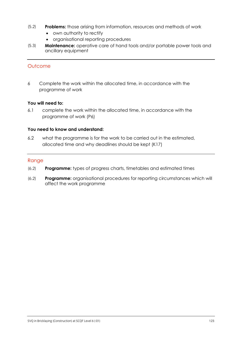- **Problems:** those arising from information, resources and methods of work  $(5.2)$ 
	- own authority to rectify
	- organisational reporting procedures
- **Maintenance:** operative care of hand tools and/or portable power tools and ancillary equipment  $(5.3)$

6 Complete the work within the allocated time, in accordance with the programme of work

#### **You will need to:**

6.1 complete the work within the allocated time, in accordance with the programme of work (P6)

#### **You need to know and understand:**

6.2 what the programme is for the work to be carried out in the estimated, allocated time and why deadlines should be kept (K17)

- **Programme:** types of progress charts, timetables and estimated times  $(6.2)$
- **Programme:** organisational procedures for reporting circumstances which will affect the work programme  $(6.2)$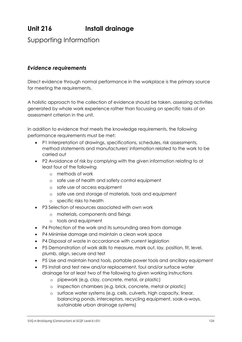# **Unit 216 Install drainage**

Supporting Information

#### *Evidence requirements*

Direct evidence through normal performance in the workplace is the primary source for meeting the requirements.

A holistic approach to the collection of evidence should be taken, assessing activities generated by whole work experience rather than focussing on specific tasks of an assessment criterion in the unit.

In addition to evidence that meets the knowledge requirements, the following performance requirements must be met:

- P1 Interpretation of drawings, specifications, schedules, risk assessments, method statements and manufacturers' information related to the work to be carried out
- P2 Avoidance of risk by complying with the given information relating to at least four of the following
	- o methods of work
	- o safe use of health and safety control equipment
	- o safe use of access equipment
	- o safe use and storage of materials, tools and equipment
	- o specific risks to health
- P3 Selection of resources associated with own work
	- o materials, components and fixings
	- o tools and equipment
- P4 Protection of the work and its surrounding area from damage
- P4 Minimise damage and maintain a clean work space
- P4 Disposal of waste in accordance with current legislation
- P5 Demonstration of work skills to measure, mark out, lay, position, fit, level, plumb, align, secure and test
- P5 Use and maintain hand tools, portable power tools and ancillary equipment
- P5 Install and test new and/or replacement, foul and/or surface water drainage for at least two of the following to given working instructions
	- o pipework (e.g. clay, concrete, metal, or plastic)
	- o inspection chambers (e.g. brick, concrete, metal or plastic)
	- o surface water systems (e.g. cells, culverts, high capacity, linear, balancing ponds, interceptors, recycling equipment, soak-a-ways, sustainable urban drainage systems)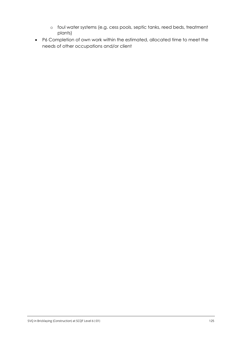- o foul water systems (e.g. cess pools, septic tanks, reed beds, treatment plants)
- P6 Completion of own work within the estimated, allocated time to meet the needs of other occupations and/or client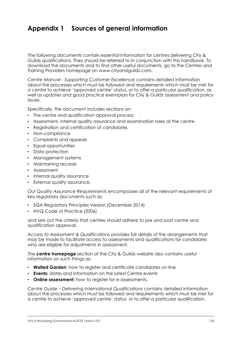## **Appendix 1 Sources of general information**

The following documents contain essential information for centres delivering City & Guilds qualifications. They should be referred to in conjunction with this handbook. To download the documents and to find other useful documents, go to the Centres and Training Providers homepage on [www.cityandguilds.com.](http://www.cityandguilds.com/)

*Centre Manual - Supporting Customer Excellence* contains detailed information about the processes which must be followed and requirements which must be met for a centre to achieve 'approved centre' status, or to offer a particular qualification, as well as updates and good practice exemplars for City & Guilds assessment and policy issues.

Specifically, the document includes sections on:

- The centre and qualification approval process
- Assessment, internal quality assurance and examination roles at the centre
- Registration and certification of candidates
- Non-compliance
- Complaints and appeals
- Equal opportunities
- Data protection
- Management systems
- Maintaining records
- Assessment
- Internal quality assurance
- External quality assurance.

*Our Quality Assurance Requirements* encompasses all of the relevant requirements of key regulatory documents such as:

- SQA Regulatory Principles Version (December 2014)
- NVQ Code of Practice (2006)

and sets out the criteria that centres should adhere to pre and post centre and qualification approval.

*Access to Assessment & Qualifications* provides full details of the arrangements that may be made to facilitate access to assessments and qualifications for candidates who are eligible for adjustments in assessment.

The **centre homepage** section of the City & Guilds website also contains useful information on such things as:

- **Walled Garden**: how to register and certificate candidates on line
- **Events:** dates and information on the latest Centre events
- **Online assessment**: how to register for e-assessments.

*Centre Guide – Delivering International Qualifications* contains detailed information about the processes which must be followed and requirements which must be met for a centre to achieve 'approved centre' status, or to offer a particular qualification.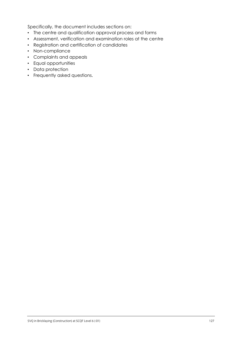Specifically, the document includes sections on:

- The centre and qualification approval process and forms
- Assessment, verification and examination roles at the centre
- Registration and certification of candidates
- Non-compliance
- Complaints and appeals
- Equal opportunities
- Data protection
- Frequently asked questions.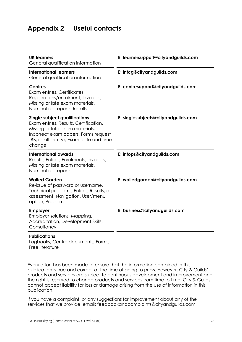## **Appendix 2 Useful contacts**

| <b>UK learners</b><br>General qualification information                                                                                                                                                       | E: learnersupport@cityandguilds.com |
|---------------------------------------------------------------------------------------------------------------------------------------------------------------------------------------------------------------|-------------------------------------|
| <b>International learners</b><br>General qualification information                                                                                                                                            | E: intcg@cityandguilds.com          |
| <b>Centres</b><br>Exam entries, Certificates,<br>Registrations/enrolment, Invoices,<br>Missing or late exam materials,<br>Nominal roll reports, Results                                                       | E: centresupport@cityandguilds.com  |
| <b>Single subject qualifications</b><br>Exam entries, Results, Certification,<br>Missing or late exam materials,<br>Incorrect exam papers, Forms request<br>(BB, results entry), Exam date and time<br>change | E: singlesubjects@cityandguilds.com |
| <b>International awards</b><br>Results, Entries, Enrolments, Invoices,<br>Missing or late exam materials,<br>Nominal roll reports                                                                             | E: intops@cityandguilds.com         |
| <b>Walled Garden</b><br>Re-issue of password or username,<br>Technical problems, Entries, Results, e-<br>assessment, Navigation, User/menu<br>option, Problems                                                | E: walledgarden@cityandguilds.com   |
| <b>Employer</b><br>Employer solutions, Mapping,<br>Accreditation, Development Skills,<br>Consultancy                                                                                                          | E: business@cityandguilds.com       |
| <b>Publications</b><br>Logbooks, Centre documents, Forms,                                                                                                                                                     |                                     |

Free literature

Every effort has been made to ensure that the information contained in this publication is true and correct at the time of going to press. However, City & Guilds' products and services are subject to continuous development and improvement and the right is reserved to change products and services from time to time. City & Guilds cannot accept liability for loss or damage arising from the use of information in this publication.

If you have a complaint, or any suggestions for improvement about any of the services that we provide, email: [feedbackandcomplaints@cityandguilds.com](http://feedbackandcomplaints@cityandguilds.com)